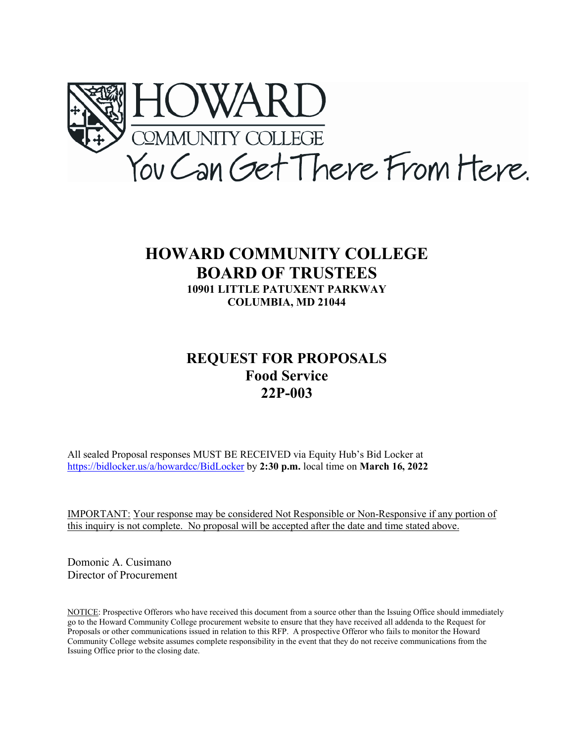

## **HOWARD COMMUNITY COLLEGE BOARD OF TRUSTEES 10901 LITTLE PATUXENT PARKWAY COLUMBIA, MD 21044**

## **REQUEST FOR PROPOSALS Food Service 22P-003**

All sealed Proposal responses MUST BE RECEIVED via Equity Hub's Bid Locker at <https://bidlocker.us/a/howardcc/BidLocker> by **2:30 p.m.** local time on **March 16, 2022**

IMPORTANT: Your response may be considered Not Responsible or Non-Responsive if any portion of this inquiry is not complete. No proposal will be accepted after the date and time stated above.

Domonic A. Cusimano Director of Procurement

NOTICE: Prospective Offerors who have received this document from a source other than the Issuing Office should immediately go to the Howard Community College procurement website to ensure that they have received all addenda to the Request for Proposals or other communications issued in relation to this RFP. A prospective Offeror who fails to monitor the Howard Community College website assumes complete responsibility in the event that they do not receive communications from the Issuing Office prior to the closing date.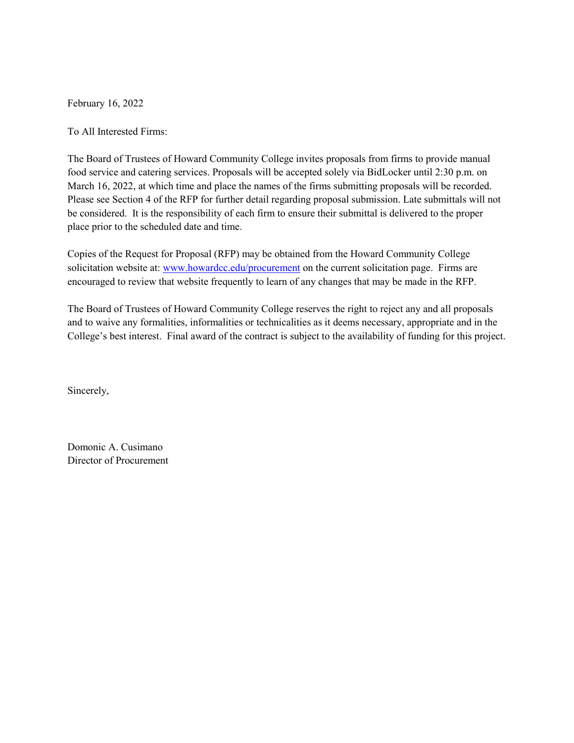February 16, 2022

To All Interested Firms:

The Board of Trustees of Howard Community College invites proposals from firms to provide manual food service and catering services. Proposals will be accepted solely via BidLocker until 2:30 p.m. on March 16, 2022, at which time and place the names of the firms submitting proposals will be recorded. Please see Section 4 of the RFP for further detail regarding proposal submission. Late submittals will not be considered. It is the responsibility of each firm to ensure their submittal is delivered to the proper place prior to the scheduled date and time.

Copies of the Request for Proposal (RFP) may be obtained from the Howard Community College solicitation website at[: www.howardcc.edu/procurement](http://www.howardcc.edu/procurement) on the current solicitation page. Firms are encouraged to review that website frequently to learn of any changes that may be made in the RFP.

The Board of Trustees of Howard Community College reserves the right to reject any and all proposals and to waive any formalities, informalities or technicalities as it deems necessary, appropriate and in the College's best interest. Final award of the contract is subject to the availability of funding for this project.

Sincerely,

Domonic A. Cusimano Director of Procurement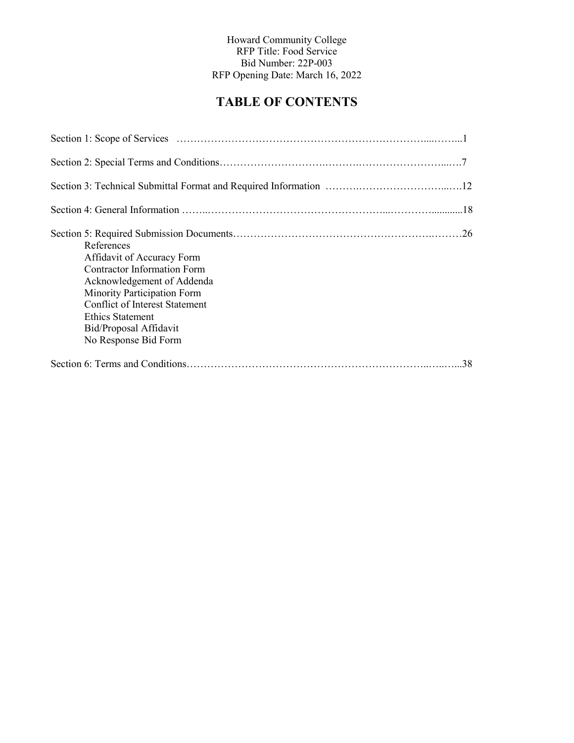## **TABLE OF CONTENTS**

| References<br>Affidavit of Accuracy Form<br><b>Contractor Information Form</b><br>Acknowledgement of Addenda<br>Minority Participation Form<br><b>Conflict of Interest Statement</b><br>Ethics Statement<br>Bid/Proposal Affidavit<br>No Response Bid Form |
|------------------------------------------------------------------------------------------------------------------------------------------------------------------------------------------------------------------------------------------------------------|
|                                                                                                                                                                                                                                                            |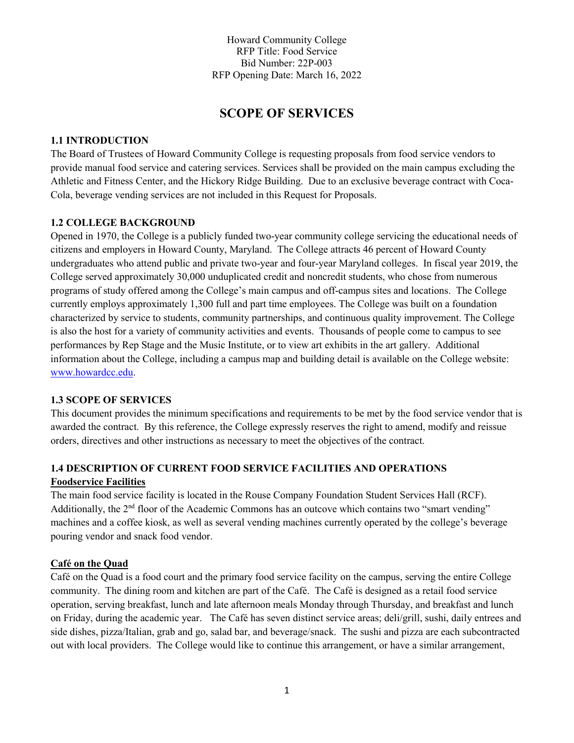## **SCOPE OF SERVICES**

#### **1.1 INTRODUCTION**

The Board of Trustees of Howard Community College is requesting proposals from food service vendors to provide manual food service and catering services. Services shall be provided on the main campus excluding the Athletic and Fitness Center, and the Hickory Ridge Building. Due to an exclusive beverage contract with Coca-Cola, beverage vending services are not included in this Request for Proposals.

#### **1.2 COLLEGE BACKGROUND**

Opened in 1970, the College is a publicly funded two-year community college servicing the educational needs of citizens and employers in Howard County, Maryland. The College attracts 46 percent of Howard County undergraduates who attend public and private two-year and four-year Maryland colleges. In fiscal year 2019, the College served approximately 30,000 unduplicated credit and noncredit students, who chose from numerous programs of study offered among the College's main campus and off-campus sites and locations. The College currently employs approximately 1,300 full and part time employees. The College was built on a foundation characterized by service to students, community partnerships, and continuous quality improvement. The College is also the host for a variety of community activities and events. Thousands of people come to campus to see performances by Rep Stage and the Music Institute, or to view art exhibits in the art gallery. Additional information about the College, including a campus map and building detail is available on the College website: [www.howardcc.edu.](http://www.howardcc.edu/)

#### **1.3 SCOPE OF SERVICES**

This document provides the minimum specifications and requirements to be met by the food service vendor that is awarded the contract. By this reference, the College expressly reserves the right to amend, modify and reissue orders, directives and other instructions as necessary to meet the objectives of the contract.

# **1.4 DESCRIPTION OF CURRENT FOOD SERVICE FACILITIES AND OPERATIONS**

## **Foodservice Facilities**

The main food service facility is located in the Rouse Company Foundation Student Services Hall (RCF). Additionally, the 2<sup>nd</sup> floor of the Academic Commons has an outcove which contains two "smart vending" machines and a coffee kiosk, as well as several vending machines currently operated by the college's beverage pouring vendor and snack food vendor.

#### **Café on the Quad**

Café on the Quad is a food court and the primary food service facility on the campus, serving the entire College community. The dining room and kitchen are part of the Café. The Café is designed as a retail food service operation, serving breakfast, lunch and late afternoon meals Monday through Thursday, and breakfast and lunch on Friday, during the academic year. The Café has seven distinct service areas; deli/grill, sushi, daily entrees and side dishes, pizza/Italian, grab and go, salad bar, and beverage/snack. The sushi and pizza are each subcontracted out with local providers. The College would like to continue this arrangement, or have a similar arrangement,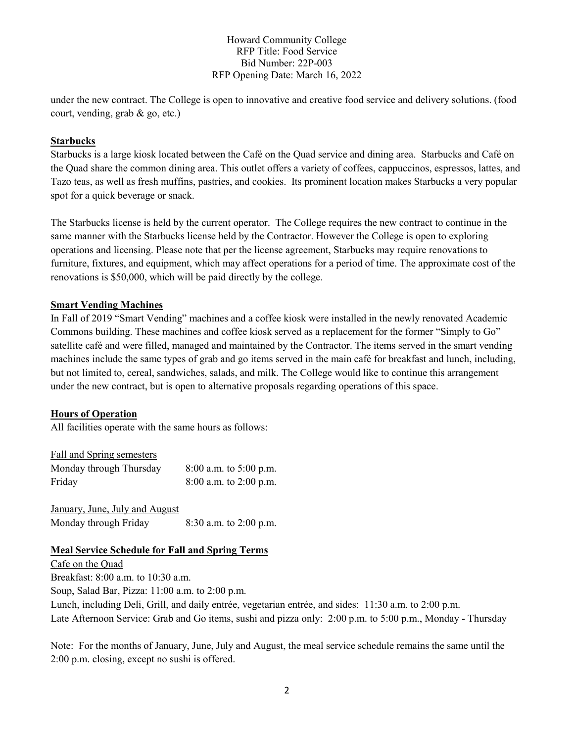under the new contract. The College is open to innovative and creative food service and delivery solutions. (food court, vending, grab & go, etc.)

#### **Starbucks**

Starbucks is a large kiosk located between the Café on the Quad service and dining area. Starbucks and Café on the Quad share the common dining area. This outlet offers a variety of coffees, cappuccinos, espressos, lattes, and Tazo teas, as well as fresh muffins, pastries, and cookies. Its prominent location makes Starbucks a very popular spot for a quick beverage or snack.

The Starbucks license is held by the current operator. The College requires the new contract to continue in the same manner with the Starbucks license held by the Contractor. However the College is open to exploring operations and licensing. Please note that per the license agreement, Starbucks may require renovations to furniture, fixtures, and equipment, which may affect operations for a period of time. The approximate cost of the renovations is \$50,000, which will be paid directly by the college.

#### **Smart Vending Machines**

In Fall of 2019 "Smart Vending" machines and a coffee kiosk were installed in the newly renovated Academic Commons building. These machines and coffee kiosk served as a replacement for the former "Simply to Go" satellite café and were filled, managed and maintained by the Contractor. The items served in the smart vending machines include the same types of grab and go items served in the main café for breakfast and lunch, including, but not limited to, cereal, sandwiches, salads, and milk. The College would like to continue this arrangement under the new contract, but is open to alternative proposals regarding operations of this space.

### **Hours of Operation**

All facilities operate with the same hours as follows:

| Fall and Spring semesters |                            |
|---------------------------|----------------------------|
| Monday through Thursday   | $8:00$ a.m. to $5:00$ p.m. |
| Friday                    | $8:00$ a.m. to 2:00 p.m.   |

January, June, July and August Monday through Friday 8:30 a.m. to 2:00 p.m.

#### **Meal Service Schedule for Fall and Spring Terms**

Cafe on the Quad Breakfast: 8:00 a.m. to 10:30 a.m. Soup, Salad Bar, Pizza: 11:00 a.m. to 2:00 p.m. Lunch, including Deli, Grill, and daily entrée, vegetarian entrée, and sides: 11:30 a.m. to 2:00 p.m. Late Afternoon Service: Grab and Go items, sushi and pizza only: 2:00 p.m. to 5:00 p.m., Monday - Thursday

Note: For the months of January, June, July and August, the meal service schedule remains the same until the 2:00 p.m. closing, except no sushi is offered.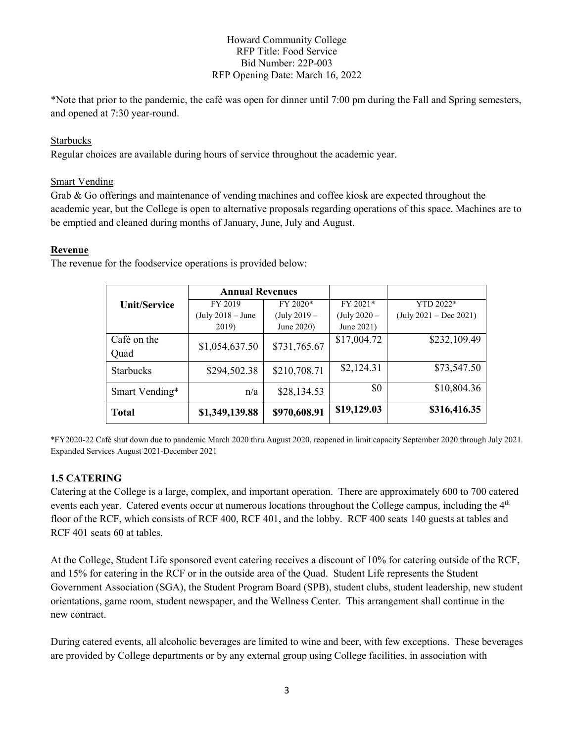\*Note that prior to the pandemic, the café was open for dinner until 7:00 pm during the Fall and Spring semesters, and opened at 7:30 year-round.

### Starbucks

Regular choices are available during hours of service throughout the academic year.

#### Smart Vending

Grab & Go offerings and maintenance of vending machines and coffee kiosk are expected throughout the academic year, but the College is open to alternative proposals regarding operations of this space. Machines are to be emptied and cleaned during months of January, June, July and August.

#### **Revenue**

The revenue for the foodservice operations is provided below:

|                     | <b>Annual Revenues</b> |                |                |                                          |
|---------------------|------------------------|----------------|----------------|------------------------------------------|
| <b>Unit/Service</b> | FY 2019                | FY 2020*       | FY 2021*       | YTD 2022*                                |
|                     | $(July 2018 - June$    | $(July 2019 -$ | $(July 2020 -$ | $(\text{July } 2021 - \text{Dec } 2021)$ |
|                     | 2019)                  | June 2020)     | June 2021)     |                                          |
| Café on the         |                        | \$731,765.67   | \$17,004.72    | \$232,109.49                             |
| Quad                | \$1,054,637.50         |                |                |                                          |
| <b>Starbucks</b>    | \$294,502.38           | \$210,708.71   | \$2,124.31     | \$73,547.50                              |
| Smart Vending*      | n/a                    | \$28,134.53    | \$0            | \$10,804.36                              |
| <b>Total</b>        | \$1,349,139.88         | \$970,608.91   | \$19,129.03    | \$316,416.35                             |

\*FY2020-22 Café shut down due to pandemic March 2020 thru August 2020, reopened in limit capacity September 2020 through July 2021. Expanded Services August 2021-December 2021

### **1.5 CATERING**

Catering at the College is a large, complex, and important operation. There are approximately 600 to 700 catered events each year. Catered events occur at numerous locations throughout the College campus, including the 4<sup>th</sup> floor of the RCF, which consists of RCF 400, RCF 401, and the lobby. RCF 400 seats 140 guests at tables and RCF 401 seats 60 at tables.

At the College, Student Life sponsored event catering receives a discount of 10% for catering outside of the RCF, and 15% for catering in the RCF or in the outside area of the Quad. Student Life represents the Student Government Association (SGA), the Student Program Board (SPB), student clubs, student leadership, new student orientations, game room, student newspaper, and the Wellness Center. This arrangement shall continue in the new contract.

During catered events, all alcoholic beverages are limited to wine and beer, with few exceptions. These beverages are provided by College departments or by any external group using College facilities, in association with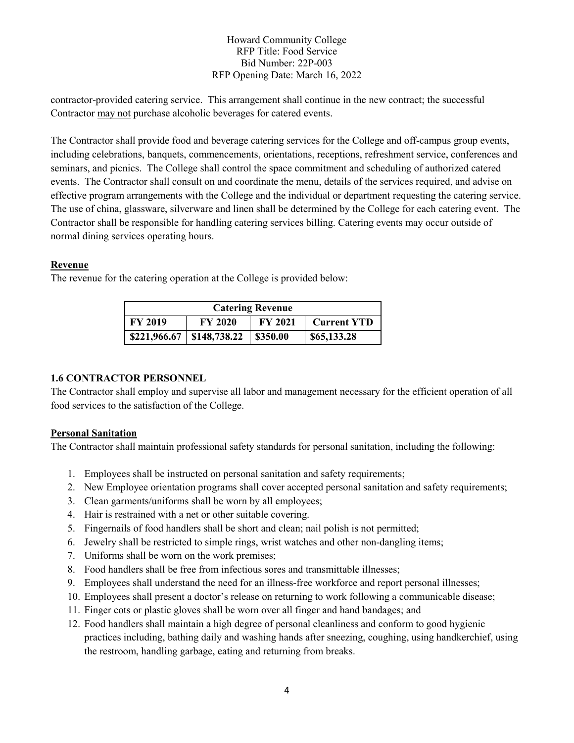contractor-provided catering service. This arrangement shall continue in the new contract; the successful Contractor may not purchase alcoholic beverages for catered events.

The Contractor shall provide food and beverage catering services for the College and off-campus group events, including celebrations, banquets, commencements, orientations, receptions, refreshment service, conferences and seminars, and picnics. The College shall control the space commitment and scheduling of authorized catered events. The Contractor shall consult on and coordinate the menu, details of the services required, and advise on effective program arrangements with the College and the individual or department requesting the catering service. The use of china, glassware, silverware and linen shall be determined by the College for each catering event. The Contractor shall be responsible for handling catering services billing. Catering events may occur outside of normal dining services operating hours.

#### **Revenue**

The revenue for the catering operation at the College is provided below:

| <b>Catering Revenue</b>        |                |                |                    |
|--------------------------------|----------------|----------------|--------------------|
| <b>FY 2019</b>                 | <b>FY 2020</b> | <b>FY 2021</b> | <b>Current YTD</b> |
| $$221,966.67 \mid $148,738.22$ |                | \$350.00       | \$65,133.28        |

#### **1.6 CONTRACTOR PERSONNEL**

The Contractor shall employ and supervise all labor and management necessary for the efficient operation of all food services to the satisfaction of the College.

#### **Personal Sanitation**

The Contractor shall maintain professional safety standards for personal sanitation, including the following:

- 1. Employees shall be instructed on personal sanitation and safety requirements;
- 2. New Employee orientation programs shall cover accepted personal sanitation and safety requirements;
- 3. Clean garments/uniforms shall be worn by all employees;
- 4. Hair is restrained with a net or other suitable covering.
- 5. Fingernails of food handlers shall be short and clean; nail polish is not permitted;
- 6. Jewelry shall be restricted to simple rings, wrist watches and other non-dangling items;
- 7. Uniforms shall be worn on the work premises;
- 8. Food handlers shall be free from infectious sores and transmittable illnesses;
- 9. Employees shall understand the need for an illness-free workforce and report personal illnesses;
- 10. Employees shall present a doctor's release on returning to work following a communicable disease;
- 11. Finger cots or plastic gloves shall be worn over all finger and hand bandages; and
- 12. Food handlers shall maintain a high degree of personal cleanliness and conform to good hygienic practices including, bathing daily and washing hands after sneezing, coughing, using handkerchief, using the restroom, handling garbage, eating and returning from breaks.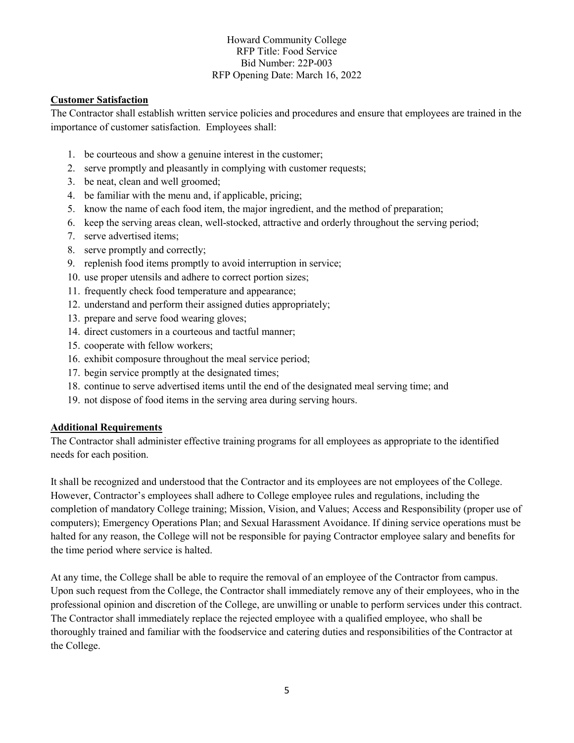#### **Customer Satisfaction**

The Contractor shall establish written service policies and procedures and ensure that employees are trained in the importance of customer satisfaction. Employees shall:

- 1. be courteous and show a genuine interest in the customer;
- 2. serve promptly and pleasantly in complying with customer requests;
- 3. be neat, clean and well groomed;
- 4. be familiar with the menu and, if applicable, pricing;
- 5. know the name of each food item, the major ingredient, and the method of preparation;
- 6. keep the serving areas clean, well-stocked, attractive and orderly throughout the serving period;
- 7. serve advertised items;
- 8. serve promptly and correctly;
- 9. replenish food items promptly to avoid interruption in service;
- 10. use proper utensils and adhere to correct portion sizes;
- 11. frequently check food temperature and appearance;
- 12. understand and perform their assigned duties appropriately;
- 13. prepare and serve food wearing gloves;
- 14. direct customers in a courteous and tactful manner;
- 15. cooperate with fellow workers;
- 16. exhibit composure throughout the meal service period;
- 17. begin service promptly at the designated times;
- 18. continue to serve advertised items until the end of the designated meal serving time; and
- 19. not dispose of food items in the serving area during serving hours.

#### **Additional Requirements**

The Contractor shall administer effective training programs for all employees as appropriate to the identified needs for each position.

It shall be recognized and understood that the Contractor and its employees are not employees of the College. However, Contractor's employees shall adhere to College employee rules and regulations, including the completion of mandatory College training; Mission, Vision, and Values; Access and Responsibility (proper use of computers); Emergency Operations Plan; and Sexual Harassment Avoidance. If dining service operations must be halted for any reason, the College will not be responsible for paying Contractor employee salary and benefits for the time period where service is halted.

At any time, the College shall be able to require the removal of an employee of the Contractor from campus. Upon such request from the College, the Contractor shall immediately remove any of their employees, who in the professional opinion and discretion of the College, are unwilling or unable to perform services under this contract. The Contractor shall immediately replace the rejected employee with a qualified employee, who shall be thoroughly trained and familiar with the foodservice and catering duties and responsibilities of the Contractor at the College.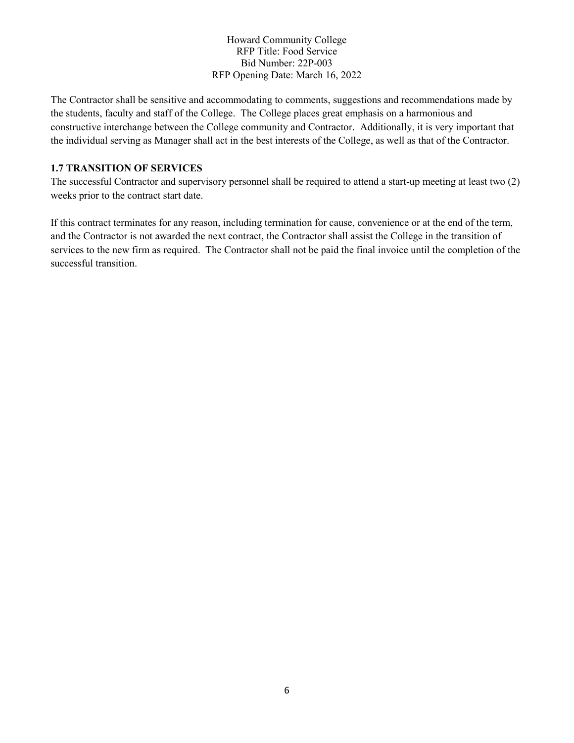The Contractor shall be sensitive and accommodating to comments, suggestions and recommendations made by the students, faculty and staff of the College. The College places great emphasis on a harmonious and constructive interchange between the College community and Contractor. Additionally, it is very important that the individual serving as Manager shall act in the best interests of the College, as well as that of the Contractor.

#### **1.7 TRANSITION OF SERVICES**

The successful Contractor and supervisory personnel shall be required to attend a start-up meeting at least two (2) weeks prior to the contract start date.

If this contract terminates for any reason, including termination for cause, convenience or at the end of the term, and the Contractor is not awarded the next contract, the Contractor shall assist the College in the transition of services to the new firm as required. The Contractor shall not be paid the final invoice until the completion of the successful transition.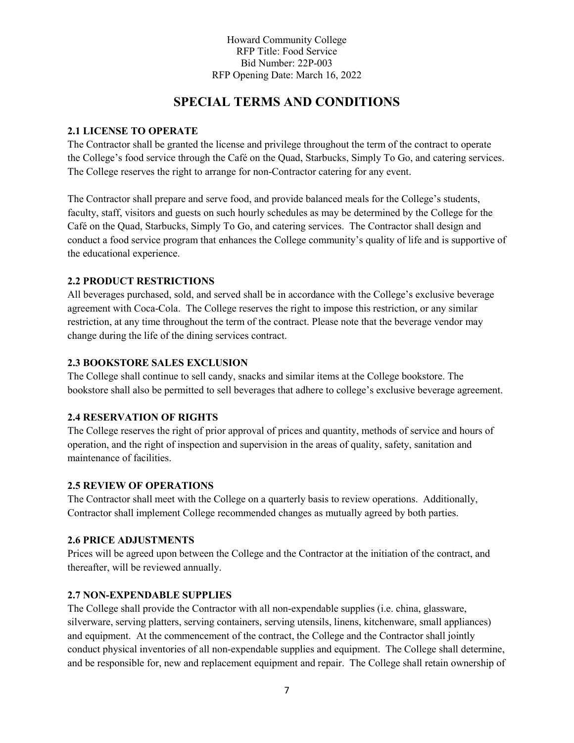## **SPECIAL TERMS AND CONDITIONS**

#### **2.1 LICENSE TO OPERATE**

The Contractor shall be granted the license and privilege throughout the term of the contract to operate the College's food service through the Café on the Quad, Starbucks, Simply To Go, and catering services. The College reserves the right to arrange for non-Contractor catering for any event.

The Contractor shall prepare and serve food, and provide balanced meals for the College's students, faculty, staff, visitors and guests on such hourly schedules as may be determined by the College for the Café on the Quad, Starbucks, Simply To Go, and catering services. The Contractor shall design and conduct a food service program that enhances the College community's quality of life and is supportive of the educational experience.

### **2.2 PRODUCT RESTRICTIONS**

All beverages purchased, sold, and served shall be in accordance with the College's exclusive beverage agreement with Coca-Cola. The College reserves the right to impose this restriction, or any similar restriction, at any time throughout the term of the contract. Please note that the beverage vendor may change during the life of the dining services contract.

### **2.3 BOOKSTORE SALES EXCLUSION**

The College shall continue to sell candy, snacks and similar items at the College bookstore. The bookstore shall also be permitted to sell beverages that adhere to college's exclusive beverage agreement.

### **2.4 RESERVATION OF RIGHTS**

The College reserves the right of prior approval of prices and quantity, methods of service and hours of operation, and the right of inspection and supervision in the areas of quality, safety, sanitation and maintenance of facilities.

#### **2.5 REVIEW OF OPERATIONS**

The Contractor shall meet with the College on a quarterly basis to review operations. Additionally, Contractor shall implement College recommended changes as mutually agreed by both parties.

#### **2.6 PRICE ADJUSTMENTS**

Prices will be agreed upon between the College and the Contractor at the initiation of the contract, and thereafter, will be reviewed annually.

#### **2.7 NON-EXPENDABLE SUPPLIES**

The College shall provide the Contractor with all non-expendable supplies (i.e. china, glassware, silverware, serving platters, serving containers, serving utensils, linens, kitchenware, small appliances) and equipment. At the commencement of the contract, the College and the Contractor shall jointly conduct physical inventories of all non-expendable supplies and equipment. The College shall determine, and be responsible for, new and replacement equipment and repair. The College shall retain ownership of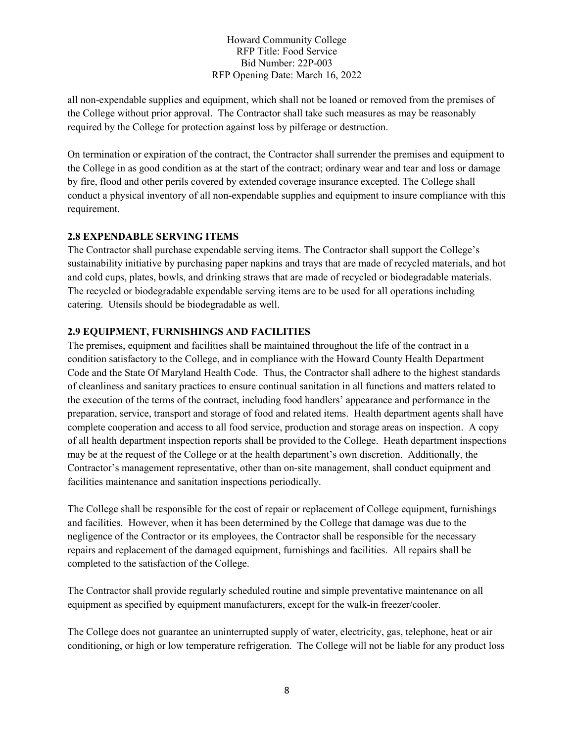all non-expendable supplies and equipment, which shall not be loaned or removed from the premises of the College without prior approval. The Contractor shall take such measures as may be reasonably required by the College for protection against loss by pilferage or destruction.

On termination or expiration of the contract, the Contractor shall surrender the premises and equipment to the College in as good condition as at the start of the contract; ordinary wear and tear and loss or damage by fire, flood and other perils covered by extended coverage insurance excepted. The College shall conduct a physical inventory of all non-expendable supplies and equipment to insure compliance with this requirement.

### **2.8 EXPENDABLE SERVING ITEMS**

The Contractor shall purchase expendable serving items. The Contractor shall support the College's sustainability initiative by purchasing paper napkins and trays that are made of recycled materials, and hot and cold cups, plates, bowls, and drinking straws that are made of recycled or biodegradable materials. The recycled or biodegradable expendable serving items are to be used for all operations including catering. Utensils should be biodegradable as well.

### **2.9 EQUIPMENT, FURNISHINGS AND FACILITIES**

The premises, equipment and facilities shall be maintained throughout the life of the contract in a condition satisfactory to the College, and in compliance with the Howard County Health Department Code and the State Of Maryland Health Code. Thus, the Contractor shall adhere to the highest standards of cleanliness and sanitary practices to ensure continual sanitation in all functions and matters related to the execution of the terms of the contract, including food handlers' appearance and performance in the preparation, service, transport and storage of food and related items. Health department agents shall have complete cooperation and access to all food service, production and storage areas on inspection. A copy of all health department inspection reports shall be provided to the College. Heath department inspections may be at the request of the College or at the health department's own discretion. Additionally, the Contractor's management representative, other than on-site management, shall conduct equipment and facilities maintenance and sanitation inspections periodically.

The College shall be responsible for the cost of repair or replacement of College equipment, furnishings and facilities. However, when it has been determined by the College that damage was due to the negligence of the Contractor or its employees, the Contractor shall be responsible for the necessary repairs and replacement of the damaged equipment, furnishings and facilities. All repairs shall be completed to the satisfaction of the College.

The Contractor shall provide regularly scheduled routine and simple preventative maintenance on all equipment as specified by equipment manufacturers, except for the walk-in freezer/cooler.

The College does not guarantee an uninterrupted supply of water, electricity, gas, telephone, heat or air conditioning, or high or low temperature refrigeration. The College will not be liable for any product loss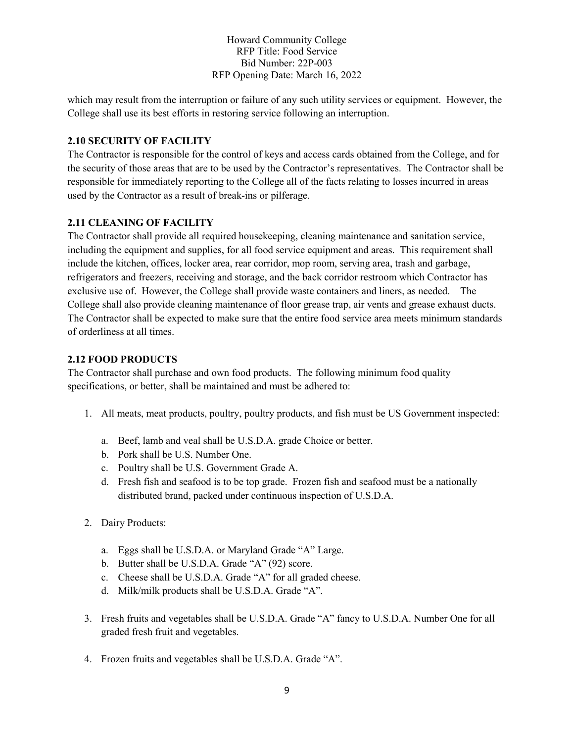which may result from the interruption or failure of any such utility services or equipment. However, the College shall use its best efforts in restoring service following an interruption.

#### **2.10 SECURITY OF FACILITY**

The Contractor is responsible for the control of keys and access cards obtained from the College, and for the security of those areas that are to be used by the Contractor's representatives. The Contractor shall be responsible for immediately reporting to the College all of the facts relating to losses incurred in areas used by the Contractor as a result of break-ins or pilferage.

#### **2.11 CLEANING OF FACILITY**

The Contractor shall provide all required housekeeping, cleaning maintenance and sanitation service, including the equipment and supplies, for all food service equipment and areas. This requirement shall include the kitchen, offices, locker area, rear corridor, mop room, serving area, trash and garbage, refrigerators and freezers, receiving and storage, and the back corridor restroom which Contractor has exclusive use of. However, the College shall provide waste containers and liners, as needed. The College shall also provide cleaning maintenance of floor grease trap, air vents and grease exhaust ducts. The Contractor shall be expected to make sure that the entire food service area meets minimum standards of orderliness at all times.

#### **2.12 FOOD PRODUCTS**

The Contractor shall purchase and own food products. The following minimum food quality specifications, or better, shall be maintained and must be adhered to:

- 1. All meats, meat products, poultry, poultry products, and fish must be US Government inspected:
	- a. Beef, lamb and veal shall be U.S.D.A. grade Choice or better.
	- b. Pork shall be U.S. Number One.
	- c. Poultry shall be U.S. Government Grade A.
	- d. Fresh fish and seafood is to be top grade. Frozen fish and seafood must be a nationally distributed brand, packed under continuous inspection of U.S.D.A.
- 2. Dairy Products:
	- a. Eggs shall be U.S.D.A. or Maryland Grade "A" Large.
	- b. Butter shall be U.S.D.A. Grade "A" (92) score.
	- c. Cheese shall be U.S.D.A. Grade "A" for all graded cheese.
	- d. Milk/milk products shall be U.S.D.A. Grade "A".
- 3. Fresh fruits and vegetables shall be U.S.D.A. Grade "A" fancy to U.S.D.A. Number One for all graded fresh fruit and vegetables.
- 4. Frozen fruits and vegetables shall be U.S.D.A. Grade "A".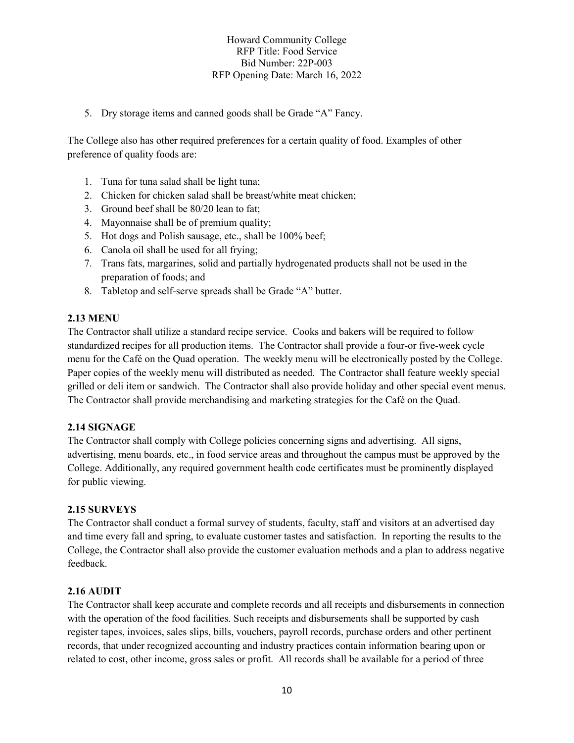5. Dry storage items and canned goods shall be Grade "A" Fancy.

The College also has other required preferences for a certain quality of food. Examples of other preference of quality foods are:

- 1. Tuna for tuna salad shall be light tuna;
- 2. Chicken for chicken salad shall be breast/white meat chicken;
- 3. Ground beef shall be 80/20 lean to fat;
- 4. Mayonnaise shall be of premium quality;
- 5. Hot dogs and Polish sausage, etc., shall be 100% beef;
- 6. Canola oil shall be used for all frying;
- 7. Trans fats, margarines, solid and partially hydrogenated products shall not be used in the preparation of foods; and
- 8. Tabletop and self-serve spreads shall be Grade "A" butter.

#### **2.13 MENU**

The Contractor shall utilize a standard recipe service. Cooks and bakers will be required to follow standardized recipes for all production items. The Contractor shall provide a four-or five-week cycle menu for the Café on the Quad operation. The weekly menu will be electronically posted by the College. Paper copies of the weekly menu will distributed as needed. The Contractor shall feature weekly special grilled or deli item or sandwich. The Contractor shall also provide holiday and other special event menus. The Contractor shall provide merchandising and marketing strategies for the Café on the Quad.

#### **2.14 SIGNAGE**

The Contractor shall comply with College policies concerning signs and advertising. All signs, advertising, menu boards, etc., in food service areas and throughout the campus must be approved by the College. Additionally, any required government health code certificates must be prominently displayed for public viewing.

#### **2.15 SURVEYS**

The Contractor shall conduct a formal survey of students, faculty, staff and visitors at an advertised day and time every fall and spring, to evaluate customer tastes and satisfaction. In reporting the results to the College, the Contractor shall also provide the customer evaluation methods and a plan to address negative feedback.

### **2.16 AUDIT**

The Contractor shall keep accurate and complete records and all receipts and disbursements in connection with the operation of the food facilities. Such receipts and disbursements shall be supported by cash register tapes, invoices, sales slips, bills, vouchers, payroll records, purchase orders and other pertinent records, that under recognized accounting and industry practices contain information bearing upon or related to cost, other income, gross sales or profit. All records shall be available for a period of three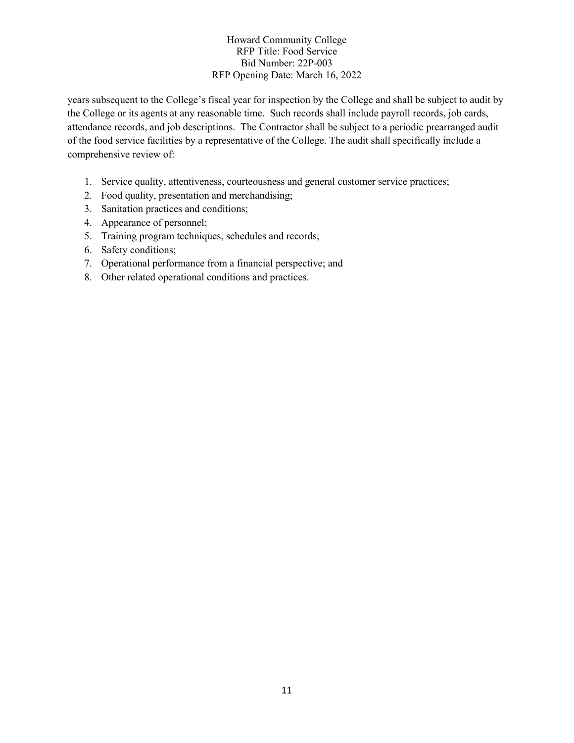years subsequent to the College's fiscal year for inspection by the College and shall be subject to audit by the College or its agents at any reasonable time. Such records shall include payroll records, job cards, attendance records, and job descriptions. The Contractor shall be subject to a periodic prearranged audit of the food service facilities by a representative of the College. The audit shall specifically include a comprehensive review of:

- 1. Service quality, attentiveness, courteousness and general customer service practices;
- 2. Food quality, presentation and merchandising;
- 3. Sanitation practices and conditions;
- 4. Appearance of personnel;
- 5. Training program techniques, schedules and records;
- 6. Safety conditions;
- 7. Operational performance from a financial perspective; and
- 8. Other related operational conditions and practices.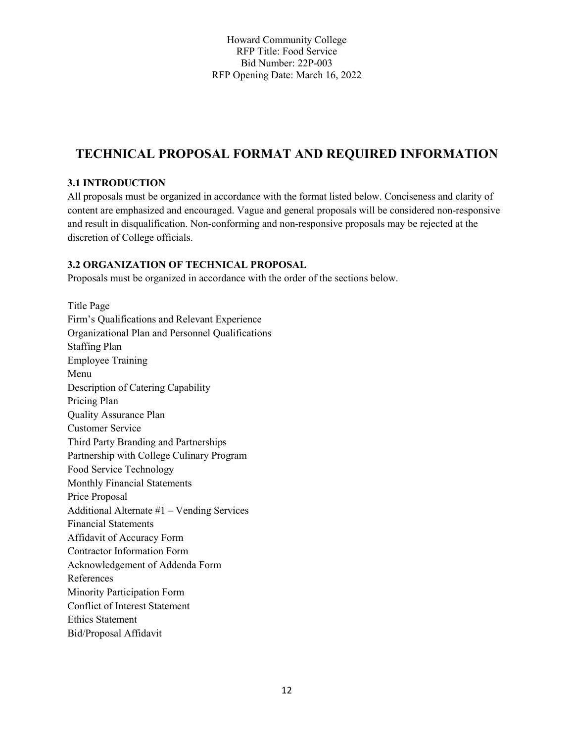## **TECHNICAL PROPOSAL FORMAT AND REQUIRED INFORMATION**

## **3.1 INTRODUCTION**

All proposals must be organized in accordance with the format listed below. Conciseness and clarity of content are emphasized and encouraged. Vague and general proposals will be considered non-responsive and result in disqualification. Non-conforming and non-responsive proposals may be rejected at the discretion of College officials.

## **3.2 ORGANIZATION OF TECHNICAL PROPOSAL**

Proposals must be organized in accordance with the order of the sections below.

Title Page Firm's Qualifications and Relevant Experience Organizational Plan and Personnel Qualifications Staffing Plan Employee Training Menu Description of Catering Capability Pricing Plan Quality Assurance Plan Customer Service Third Party Branding and Partnerships Partnership with College Culinary Program Food Service Technology Monthly Financial Statements Price Proposal Additional Alternate #1 – Vending Services Financial Statements Affidavit of Accuracy Form Contractor Information Form Acknowledgement of Addenda Form References Minority Participation Form Conflict of Interest Statement Ethics Statement Bid/Proposal Affidavit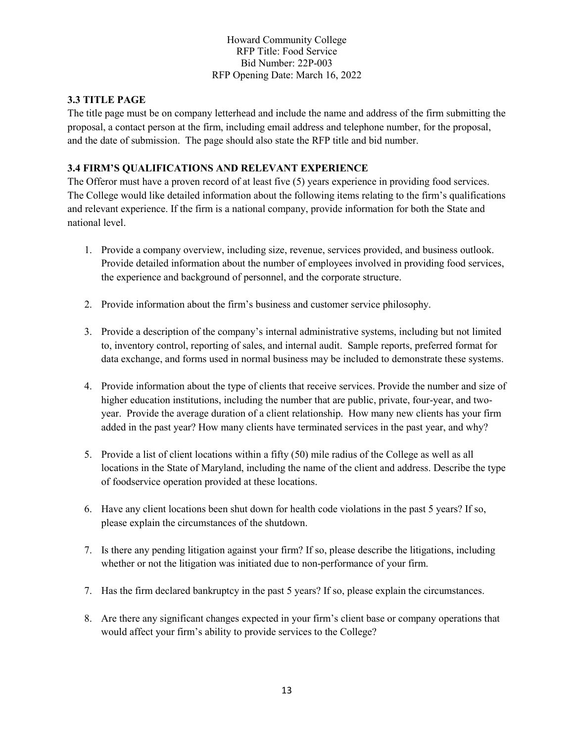## **3.3 TITLE PAGE**

The title page must be on company letterhead and include the name and address of the firm submitting the proposal, a contact person at the firm, including email address and telephone number, for the proposal, and the date of submission. The page should also state the RFP title and bid number.

## **3.4 FIRM'S QUALIFICATIONS AND RELEVANT EXPERIENCE**

The Offeror must have a proven record of at least five (5) years experience in providing food services. The College would like detailed information about the following items relating to the firm's qualifications and relevant experience. If the firm is a national company, provide information for both the State and national level.

- 1. Provide a company overview, including size, revenue, services provided, and business outlook. Provide detailed information about the number of employees involved in providing food services, the experience and background of personnel, and the corporate structure.
- 2. Provide information about the firm's business and customer service philosophy.
- 3. Provide a description of the company's internal administrative systems, including but not limited to, inventory control, reporting of sales, and internal audit. Sample reports, preferred format for data exchange, and forms used in normal business may be included to demonstrate these systems.
- 4. Provide information about the type of clients that receive services. Provide the number and size of higher education institutions, including the number that are public, private, four-year, and twoyear. Provide the average duration of a client relationship. How many new clients has your firm added in the past year? How many clients have terminated services in the past year, and why?
- 5. Provide a list of client locations within a fifty (50) mile radius of the College as well as all locations in the State of Maryland, including the name of the client and address. Describe the type of foodservice operation provided at these locations.
- 6. Have any client locations been shut down for health code violations in the past 5 years? If so, please explain the circumstances of the shutdown.
- 7. Is there any pending litigation against your firm? If so, please describe the litigations, including whether or not the litigation was initiated due to non-performance of your firm.
- 7. Has the firm declared bankruptcy in the past 5 years? If so, please explain the circumstances.
- 8. Are there any significant changes expected in your firm's client base or company operations that would affect your firm's ability to provide services to the College?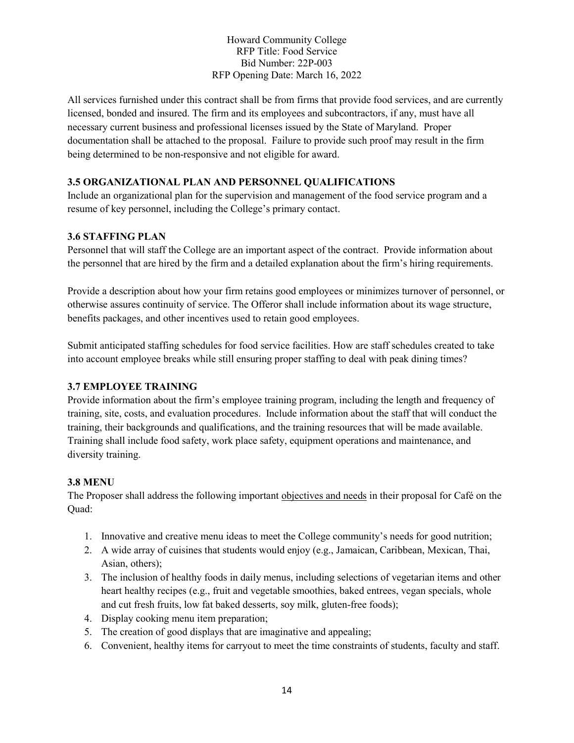All services furnished under this contract shall be from firms that provide food services, and are currently licensed, bonded and insured. The firm and its employees and subcontractors, if any, must have all necessary current business and professional licenses issued by the State of Maryland. Proper documentation shall be attached to the proposal. Failure to provide such proof may result in the firm being determined to be non-responsive and not eligible for award.

### **3.5 ORGANIZATIONAL PLAN AND PERSONNEL QUALIFICATIONS**

Include an organizational plan for the supervision and management of the food service program and a resume of key personnel, including the College's primary contact.

#### **3.6 STAFFING PLAN**

Personnel that will staff the College are an important aspect of the contract. Provide information about the personnel that are hired by the firm and a detailed explanation about the firm's hiring requirements.

Provide a description about how your firm retains good employees or minimizes turnover of personnel, or otherwise assures continuity of service. The Offeror shall include information about its wage structure, benefits packages, and other incentives used to retain good employees.

Submit anticipated staffing schedules for food service facilities. How are staff schedules created to take into account employee breaks while still ensuring proper staffing to deal with peak dining times?

### **3.7 EMPLOYEE TRAINING**

Provide information about the firm's employee training program, including the length and frequency of training, site, costs, and evaluation procedures. Include information about the staff that will conduct the training, their backgrounds and qualifications, and the training resources that will be made available. Training shall include food safety, work place safety, equipment operations and maintenance, and diversity training.

#### **3.8 MENU**

The Proposer shall address the following important objectives and needs in their proposal for Café on the Quad:

- 1. Innovative and creative menu ideas to meet the College community's needs for good nutrition;
- 2. A wide array of cuisines that students would enjoy (e.g., Jamaican, Caribbean, Mexican, Thai, Asian, others);
- 3. The inclusion of healthy foods in daily menus, including selections of vegetarian items and other heart healthy recipes (e.g., fruit and vegetable smoothies, baked entrees, vegan specials, whole and cut fresh fruits, low fat baked desserts, soy milk, gluten-free foods);
- 4. Display cooking menu item preparation;
- 5. The creation of good displays that are imaginative and appealing;
- 6. Convenient, healthy items for carryout to meet the time constraints of students, faculty and staff.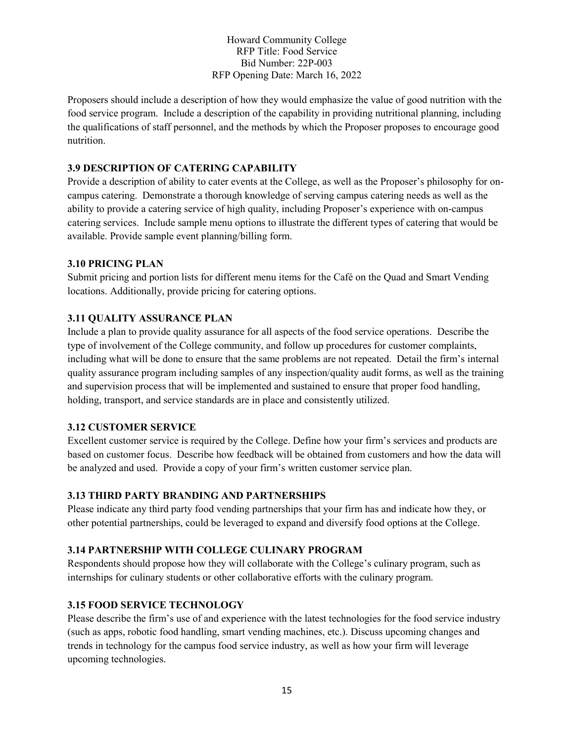Proposers should include a description of how they would emphasize the value of good nutrition with the food service program. Include a description of the capability in providing nutritional planning, including the qualifications of staff personnel, and the methods by which the Proposer proposes to encourage good nutrition.

#### **3.9 DESCRIPTION OF CATERING CAPABILITY**

Provide a description of ability to cater events at the College, as well as the Proposer's philosophy for oncampus catering. Demonstrate a thorough knowledge of serving campus catering needs as well as the ability to provide a catering service of high quality, including Proposer's experience with on-campus catering services. Include sample menu options to illustrate the different types of catering that would be available. Provide sample event planning/billing form.

#### **3.10 PRICING PLAN**

Submit pricing and portion lists for different menu items for the Café on the Quad and Smart Vending locations. Additionally, provide pricing for catering options.

### **3.11 QUALITY ASSURANCE PLAN**

Include a plan to provide quality assurance for all aspects of the food service operations. Describe the type of involvement of the College community, and follow up procedures for customer complaints, including what will be done to ensure that the same problems are not repeated. Detail the firm's internal quality assurance program including samples of any inspection/quality audit forms, as well as the training and supervision process that will be implemented and sustained to ensure that proper food handling, holding, transport, and service standards are in place and consistently utilized.

#### **3.12 CUSTOMER SERVICE**

Excellent customer service is required by the College. Define how your firm's services and products are based on customer focus. Describe how feedback will be obtained from customers and how the data will be analyzed and used. Provide a copy of your firm's written customer service plan.

### **3.13 THIRD PARTY BRANDING AND PARTNERSHIPS**

Please indicate any third party food vending partnerships that your firm has and indicate how they, or other potential partnerships, could be leveraged to expand and diversify food options at the College.

### **3.14 PARTNERSHIP WITH COLLEGE CULINARY PROGRAM**

Respondents should propose how they will collaborate with the College's culinary program, such as internships for culinary students or other collaborative efforts with the culinary program.

### **3.15 FOOD SERVICE TECHNOLOGY**

Please describe the firm's use of and experience with the latest technologies for the food service industry (such as apps, robotic food handling, smart vending machines, etc.). Discuss upcoming changes and trends in technology for the campus food service industry, as well as how your firm will leverage upcoming technologies.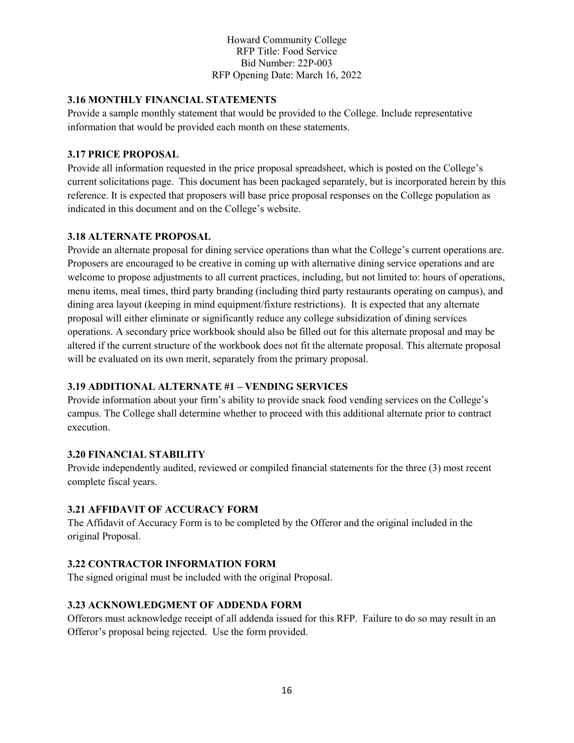### **3.16 MONTHLY FINANCIAL STATEMENTS**

Provide a sample monthly statement that would be provided to the College. Include representative information that would be provided each month on these statements.

## **3.17 PRICE PROPOSAL**

Provide all information requested in the price proposal spreadsheet, which is posted on the College's current solicitations page. This document has been packaged separately, but is incorporated herein by this reference. It is expected that proposers will base price proposal responses on the College population as indicated in this document and on the College's website.

### **3.18 ALTERNATE PROPOSAL**

Provide an alternate proposal for dining service operations than what the College's current operations are. Proposers are encouraged to be creative in coming up with alternative dining service operations and are welcome to propose adjustments to all current practices, including, but not limited to: hours of operations, menu items, meal times, third party branding (including third party restaurants operating on campus), and dining area layout (keeping in mind equipment/fixture restrictions). It is expected that any alternate proposal will either eliminate or significantly reduce any college subsidization of dining services operations. A secondary price workbook should also be filled out for this alternate proposal and may be altered if the current structure of the workbook does not fit the alternate proposal. This alternate proposal will be evaluated on its own merit, separately from the primary proposal.

## **3.19 ADDITIONAL ALTERNATE #1 – VENDING SERVICES**

Provide information about your firm's ability to provide snack food vending services on the College's campus. The College shall determine whether to proceed with this additional alternate prior to contract execution.

### **3.20 FINANCIAL STABILITY**

Provide independently audited, reviewed or compiled financial statements for the three (3) most recent complete fiscal years.

## **3.21 AFFIDAVIT OF ACCURACY FORM**

The Affidavit of Accuracy Form is to be completed by the Offeror and the original included in the original Proposal.

### **3.22 CONTRACTOR INFORMATION FORM**

The signed original must be included with the original Proposal.

## **3.23 ACKNOWLEDGMENT OF ADDENDA FORM**

Offerors must acknowledge receipt of all addenda issued for this RFP. Failure to do so may result in an Offeror's proposal being rejected. Use the form provided.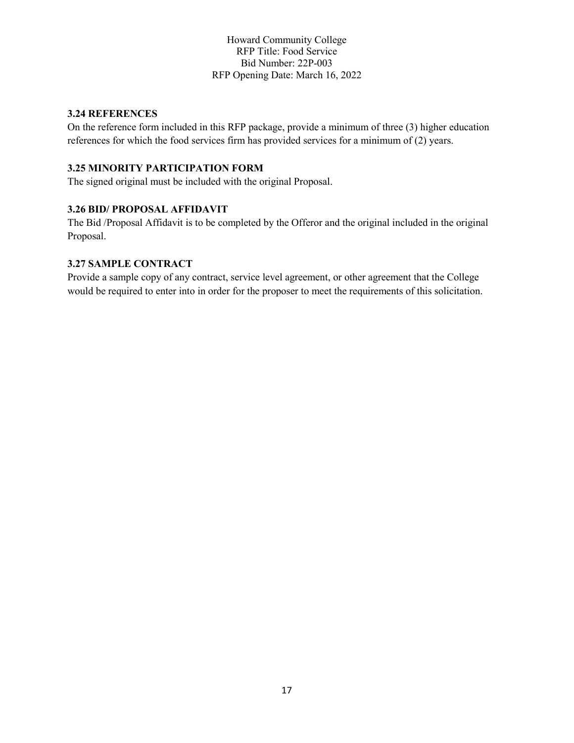### **3.24 REFERENCES**

On the reference form included in this RFP package, provide a minimum of three (3) higher education references for which the food services firm has provided services for a minimum of (2) years.

### **3.25 MINORITY PARTICIPATION FORM**

The signed original must be included with the original Proposal.

### **3.26 BID/ PROPOSAL AFFIDAVIT**

The Bid /Proposal Affidavit is to be completed by the Offeror and the original included in the original Proposal.

#### **3.27 SAMPLE CONTRACT**

Provide a sample copy of any contract, service level agreement, or other agreement that the College would be required to enter into in order for the proposer to meet the requirements of this solicitation.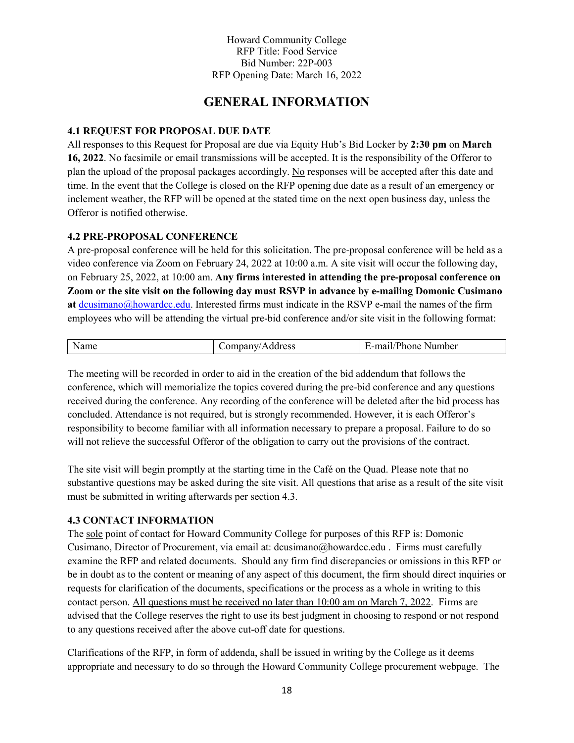## **GENERAL INFORMATION**

#### **4.1 REQUEST FOR PROPOSAL DUE DATE**

All responses to this Request for Proposal are due via Equity Hub's Bid Locker by **2:30 pm** on **March 16, 2022**. No facsimile or email transmissions will be accepted. It is the responsibility of the Offeror to plan the upload of the proposal packages accordingly. No responses will be accepted after this date and time. In the event that the College is closed on the RFP opening due date as a result of an emergency or inclement weather, the RFP will be opened at the stated time on the next open business day, unless the Offeror is notified otherwise.

#### **4.2 PRE-PROPOSAL CONFERENCE**

A pre-proposal conference will be held for this solicitation. The pre-proposal conference will be held as a video conference via Zoom on February 24, 2022 at 10:00 a.m. A site visit will occur the following day, on February 25, 2022, at 10:00 am. **Any firms interested in attending the pre-proposal conference on Zoom or the site visit on the following day must RSVP in advance by e-mailing Domonic Cusimano**  at [dcusimano@howardcc.edu.](mailto:dcusimano@howardcc.edu) Interested firms must indicate in the RSVP e-mail the names of the firm employees who will be attending the virtual pre-bid conference and/or site visit in the following format:

| 'Address<br>онизану/<br>$    -$ | '-mail/Phone_<br>Number |
|---------------------------------|-------------------------|

The meeting will be recorded in order to aid in the creation of the bid addendum that follows the conference, which will memorialize the topics covered during the pre-bid conference and any questions received during the conference. Any recording of the conference will be deleted after the bid process has concluded. Attendance is not required, but is strongly recommended. However, it is each Offeror's responsibility to become familiar with all information necessary to prepare a proposal. Failure to do so will not relieve the successful Offeror of the obligation to carry out the provisions of the contract.

The site visit will begin promptly at the starting time in the Café on the Quad. Please note that no substantive questions may be asked during the site visit. All questions that arise as a result of the site visit must be submitted in writing afterwards per section 4.3.

#### **4.3 CONTACT INFORMATION**

The sole point of contact for Howard Community College for purposes of this RFP is: Domonic Cusimano, Director of Procurement, via email at: [dcusimano@howardcc.edu](mailto:dcusimano@howardcc.edu) . Firms must carefully examine the RFP and related documents. Should any firm find discrepancies or omissions in this RFP or be in doubt as to the content or meaning of any aspect of this document, the firm should direct inquiries or requests for clarification of the documents, specifications or the process as a whole in writing to this contact person. All questions must be received no later than 10:00 am on March 7, 2022. Firms are advised that the College reserves the right to use its best judgment in choosing to respond or not respond to any questions received after the above cut-off date for questions.

Clarifications of the RFP, in form of addenda, shall be issued in writing by the College as it deems appropriate and necessary to do so through the Howard Community College procurement webpage. The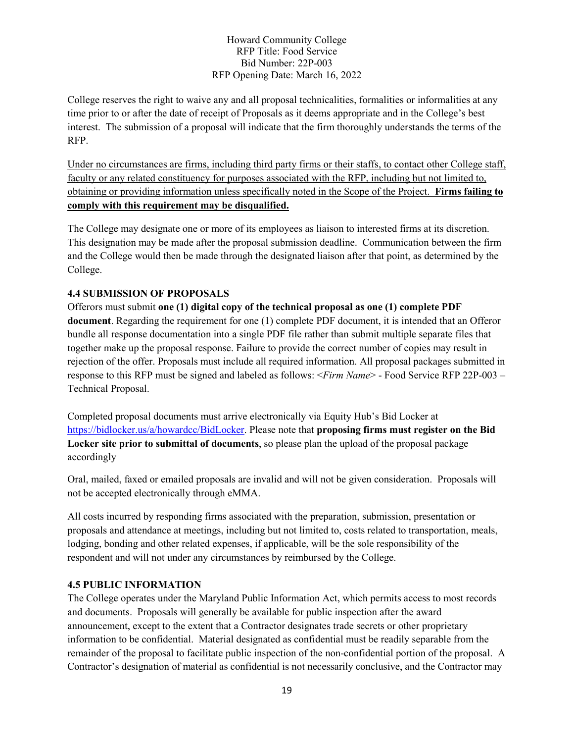College reserves the right to waive any and all proposal technicalities, formalities or informalities at any time prior to or after the date of receipt of Proposals as it deems appropriate and in the College's best interest. The submission of a proposal will indicate that the firm thoroughly understands the terms of the RFP.

Under no circumstances are firms, including third party firms or their staffs, to contact other College staff, faculty or any related constituency for purposes associated with the RFP, including but not limited to, obtaining or providing information unless specifically noted in the Scope of the Project. **Firms failing to comply with this requirement may be disqualified.**

The College may designate one or more of its employees as liaison to interested firms at its discretion. This designation may be made after the proposal submission deadline. Communication between the firm and the College would then be made through the designated liaison after that point, as determined by the College.

### **4.4 SUBMISSION OF PROPOSALS**

Offerors must submit **one (1) digital copy of the technical proposal as one (1) complete PDF document**. Regarding the requirement for one (1) complete PDF document, it is intended that an Offeror bundle all response documentation into a single PDF file rather than submit multiple separate files that together make up the proposal response. Failure to provide the correct number of copies may result in rejection of the offer. Proposals must include all required information. All proposal packages submitted in response to this RFP must be signed and labeled as follows: <*Firm Name*> - Food Service RFP 22P-003 – Technical Proposal.

Completed proposal documents must arrive electronically via Equity Hub's Bid Locker at [https://bidlocker.us/a/howardcc/BidLocker.](https://bidlocker.us/a/howardcc/BidLocker) Please note that **proposing firms must register on the Bid Locker site prior to submittal of documents**, so please plan the upload of the proposal package accordingly

Oral, mailed, faxed or emailed proposals are invalid and will not be given consideration. Proposals will not be accepted electronically through eMMA.

All costs incurred by responding firms associated with the preparation, submission, presentation or proposals and attendance at meetings, including but not limited to, costs related to transportation, meals, lodging, bonding and other related expenses, if applicable, will be the sole responsibility of the respondent and will not under any circumstances by reimbursed by the College.

#### **4.5 PUBLIC INFORMATION**

The College operates under the Maryland Public Information Act, which permits access to most records and documents. Proposals will generally be available for public inspection after the award announcement, except to the extent that a Contractor designates trade secrets or other proprietary information to be confidential. Material designated as confidential must be readily separable from the remainder of the proposal to facilitate public inspection of the non-confidential portion of the proposal. A Contractor's designation of material as confidential is not necessarily conclusive, and the Contractor may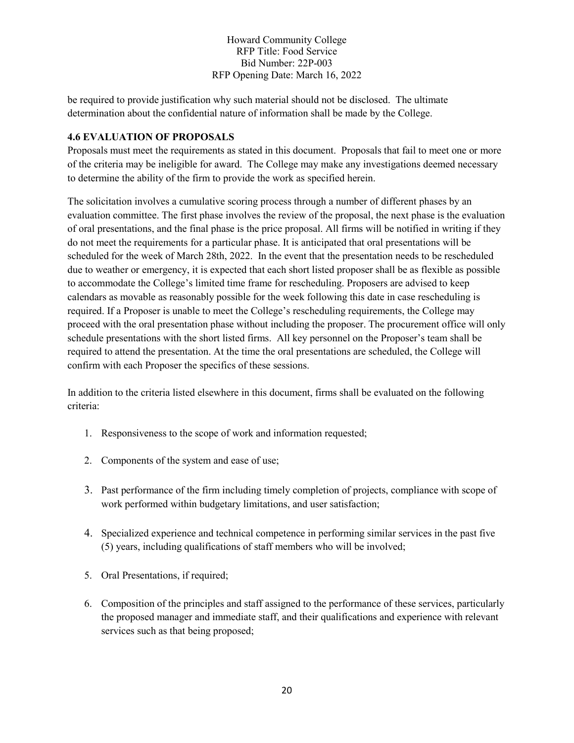be required to provide justification why such material should not be disclosed. The ultimate determination about the confidential nature of information shall be made by the College.

#### **4.6 EVALUATION OF PROPOSALS**

Proposals must meet the requirements as stated in this document. Proposals that fail to meet one or more of the criteria may be ineligible for award. The College may make any investigations deemed necessary to determine the ability of the firm to provide the work as specified herein.

The solicitation involves a cumulative scoring process through a number of different phases by an evaluation committee. The first phase involves the review of the proposal, the next phase is the evaluation of oral presentations, and the final phase is the price proposal. All firms will be notified in writing if they do not meet the requirements for a particular phase. It is anticipated that oral presentations will be scheduled for the week of March 28th, 2022. In the event that the presentation needs to be rescheduled due to weather or emergency, it is expected that each short listed proposer shall be as flexible as possible to accommodate the College's limited time frame for rescheduling. Proposers are advised to keep calendars as movable as reasonably possible for the week following this date in case rescheduling is required. If a Proposer is unable to meet the College's rescheduling requirements, the College may proceed with the oral presentation phase without including the proposer. The procurement office will only schedule presentations with the short listed firms. All key personnel on the Proposer's team shall be required to attend the presentation. At the time the oral presentations are scheduled, the College will confirm with each Proposer the specifics of these sessions.

In addition to the criteria listed elsewhere in this document, firms shall be evaluated on the following criteria:

- 1. Responsiveness to the scope of work and information requested;
- 2. Components of the system and ease of use;
- 3. Past performance of the firm including timely completion of projects, compliance with scope of work performed within budgetary limitations, and user satisfaction;
- 4. Specialized experience and technical competence in performing similar services in the past five (5) years, including qualifications of staff members who will be involved;
- 5. Oral Presentations, if required;
- 6. Composition of the principles and staff assigned to the performance of these services, particularly the proposed manager and immediate staff, and their qualifications and experience with relevant services such as that being proposed;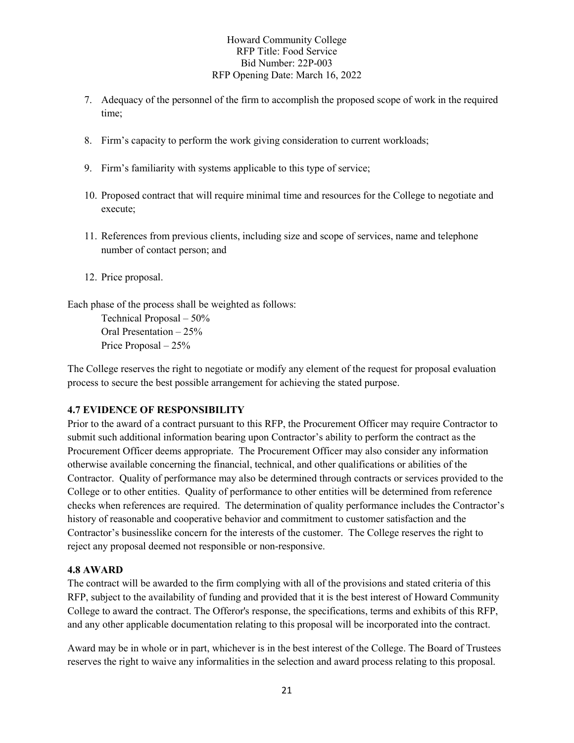- 7. Adequacy of the personnel of the firm to accomplish the proposed scope of work in the required time;
- 8. Firm's capacity to perform the work giving consideration to current workloads;
- 9. Firm's familiarity with systems applicable to this type of service;
- 10. Proposed contract that will require minimal time and resources for the College to negotiate and execute;
- 11. References from previous clients, including size and scope of services, name and telephone number of contact person; and
- 12. Price proposal.

Each phase of the process shall be weighted as follows:

 Technical Proposal – 50% Oral Presentation – 25% Price Proposal – 25%

The College reserves the right to negotiate or modify any element of the request for proposal evaluation process to secure the best possible arrangement for achieving the stated purpose.

### **4.7 EVIDENCE OF RESPONSIBILITY**

Prior to the award of a contract pursuant to this RFP, the Procurement Officer may require Contractor to submit such additional information bearing upon Contractor's ability to perform the contract as the Procurement Officer deems appropriate. The Procurement Officer may also consider any information otherwise available concerning the financial, technical, and other qualifications or abilities of the Contractor. Quality of performance may also be determined through contracts or services provided to the College or to other entities. Quality of performance to other entities will be determined from reference checks when references are required. The determination of quality performance includes the Contractor's history of reasonable and cooperative behavior and commitment to customer satisfaction and the Contractor's businesslike concern for the interests of the customer. The College reserves the right to reject any proposal deemed not responsible or non-responsive.

#### **4.8 AWARD**

The contract will be awarded to the firm complying with all of the provisions and stated criteria of this RFP, subject to the availability of funding and provided that it is the best interest of Howard Community College to award the contract. The Offeror's response, the specifications, terms and exhibits of this RFP, and any other applicable documentation relating to this proposal will be incorporated into the contract.

Award may be in whole or in part, whichever is in the best interest of the College. The Board of Trustees reserves the right to waive any informalities in the selection and award process relating to this proposal.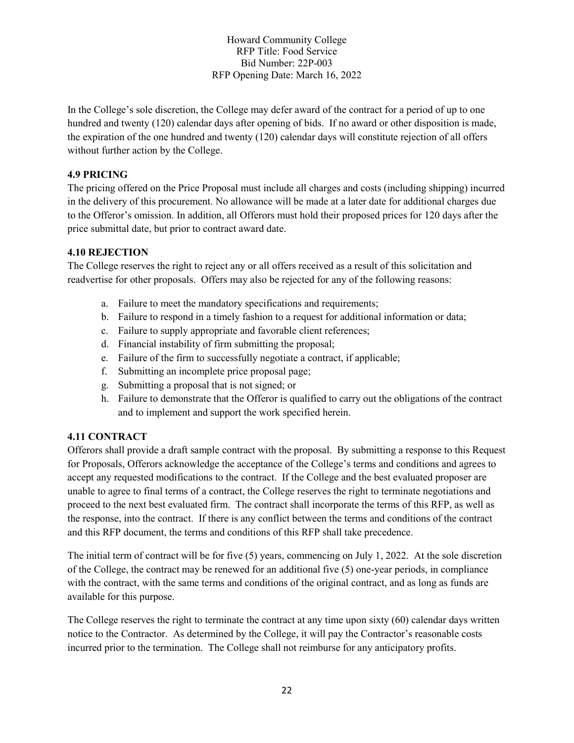In the College's sole discretion, the College may defer award of the contract for a period of up to one hundred and twenty (120) calendar days after opening of bids. If no award or other disposition is made, the expiration of the one hundred and twenty (120) calendar days will constitute rejection of all offers without further action by the College.

#### **4.9 PRICING**

The pricing offered on the Price Proposal must include all charges and costs (including shipping) incurred in the delivery of this procurement. No allowance will be made at a later date for additional charges due to the Offeror's omission. In addition, all Offerors must hold their proposed prices for 120 days after the price submittal date, but prior to contract award date.

#### **4.10 REJECTION**

The College reserves the right to reject any or all offers received as a result of this solicitation and readvertise for other proposals. Offers may also be rejected for any of the following reasons:

- a. Failure to meet the mandatory specifications and requirements;
- b. Failure to respond in a timely fashion to a request for additional information or data;
- c. Failure to supply appropriate and favorable client references;
- d. Financial instability of firm submitting the proposal;
- e. Failure of the firm to successfully negotiate a contract, if applicable;
- f. Submitting an incomplete price proposal page;
- g. Submitting a proposal that is not signed; or
- h. Failure to demonstrate that the Offeror is qualified to carry out the obligations of the contract and to implement and support the work specified herein.

### **4.11 CONTRACT**

Offerors shall provide a draft sample contract with the proposal. By submitting a response to this Request for Proposals, Offerors acknowledge the acceptance of the College's terms and conditions and agrees to accept any requested modifications to the contract. If the College and the best evaluated proposer are unable to agree to final terms of a contract, the College reserves the right to terminate negotiations and proceed to the next best evaluated firm. The contract shall incorporate the terms of this RFP, as well as the response, into the contract. If there is any conflict between the terms and conditions of the contract and this RFP document, the terms and conditions of this RFP shall take precedence.

The initial term of contract will be for five (5) years, commencing on July 1, 2022. At the sole discretion of the College, the contract may be renewed for an additional five (5) one-year periods, in compliance with the contract, with the same terms and conditions of the original contract, and as long as funds are available for this purpose.

The College reserves the right to terminate the contract at any time upon sixty (60) calendar days written notice to the Contractor. As determined by the College, it will pay the Contractor's reasonable costs incurred prior to the termination. The College shall not reimburse for any anticipatory profits.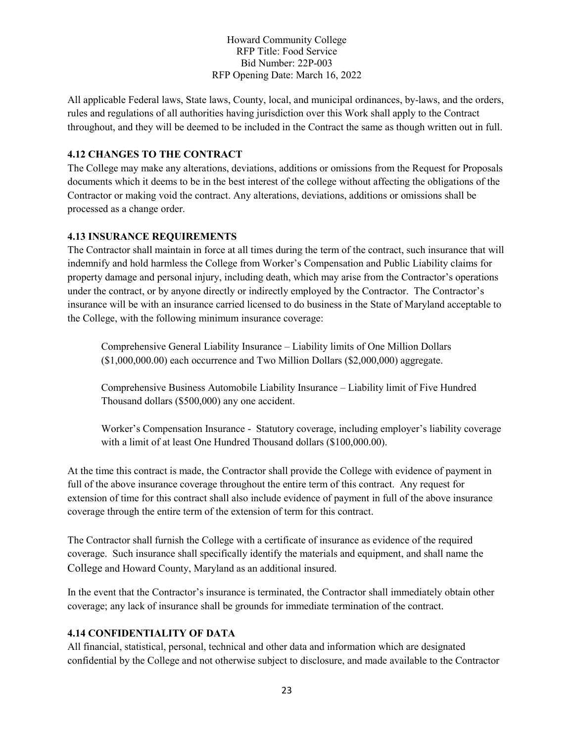All applicable Federal laws, State laws, County, local, and municipal ordinances, by-laws, and the orders, rules and regulations of all authorities having jurisdiction over this Work shall apply to the Contract throughout, and they will be deemed to be included in the Contract the same as though written out in full.

#### **4.12 CHANGES TO THE CONTRACT**

The College may make any alterations, deviations, additions or omissions from the Request for Proposals documents which it deems to be in the best interest of the college without affecting the obligations of the Contractor or making void the contract. Any alterations, deviations, additions or omissions shall be processed as a change order.

#### **4.13 INSURANCE REQUIREMENTS**

The Contractor shall maintain in force at all times during the term of the contract, such insurance that will indemnify and hold harmless the College from Worker's Compensation and Public Liability claims for property damage and personal injury, including death, which may arise from the Contractor's operations under the contract, or by anyone directly or indirectly employed by the Contractor. The Contractor's insurance will be with an insurance carried licensed to do business in the State of Maryland acceptable to the College, with the following minimum insurance coverage:

Comprehensive General Liability Insurance – Liability limits of One Million Dollars (\$1,000,000.00) each occurrence and Two Million Dollars (\$2,000,000) aggregate.

Comprehensive Business Automobile Liability Insurance – Liability limit of Five Hundred Thousand dollars (\$500,000) any one accident.

Worker's Compensation Insurance - Statutory coverage, including employer's liability coverage with a limit of at least One Hundred Thousand dollars (\$100,000.00).

At the time this contract is made, the Contractor shall provide the College with evidence of payment in full of the above insurance coverage throughout the entire term of this contract. Any request for extension of time for this contract shall also include evidence of payment in full of the above insurance coverage through the entire term of the extension of term for this contract.

The Contractor shall furnish the College with a certificate of insurance as evidence of the required coverage. Such insurance shall specifically identify the materials and equipment, and shall name the College and Howard County, Maryland as an additional insured.

In the event that the Contractor's insurance is terminated, the Contractor shall immediately obtain other coverage; any lack of insurance shall be grounds for immediate termination of the contract.

#### **4.14 CONFIDENTIALITY OF DATA**

All financial, statistical, personal, technical and other data and information which are designated confidential by the College and not otherwise subject to disclosure, and made available to the Contractor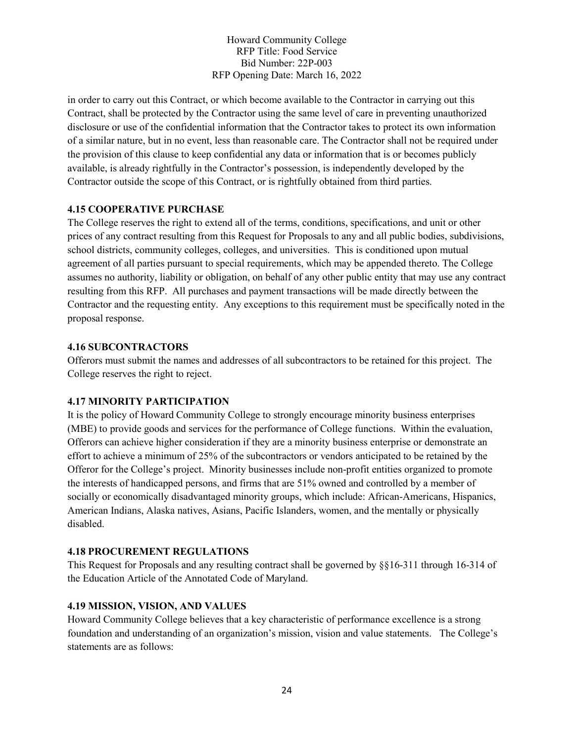in order to carry out this Contract, or which become available to the Contractor in carrying out this Contract, shall be protected by the Contractor using the same level of care in preventing unauthorized disclosure or use of the confidential information that the Contractor takes to protect its own information of a similar nature, but in no event, less than reasonable care. The Contractor shall not be required under the provision of this clause to keep confidential any data or information that is or becomes publicly available, is already rightfully in the Contractor's possession, is independently developed by the Contractor outside the scope of this Contract, or is rightfully obtained from third parties.

#### **4.15 COOPERATIVE PURCHASE**

The College reserves the right to extend all of the terms, conditions, specifications, and unit or other prices of any contract resulting from this Request for Proposals to any and all public bodies, subdivisions, school districts, community colleges, colleges, and universities. This is conditioned upon mutual agreement of all parties pursuant to special requirements, which may be appended thereto. The College assumes no authority, liability or obligation, on behalf of any other public entity that may use any contract resulting from this RFP. All purchases and payment transactions will be made directly between the Contractor and the requesting entity. Any exceptions to this requirement must be specifically noted in the proposal response.

#### **4.16 SUBCONTRACTORS**

Offerors must submit the names and addresses of all subcontractors to be retained for this project. The College reserves the right to reject.

#### **4.17 MINORITY PARTICIPATION**

It is the policy of Howard Community College to strongly encourage minority business enterprises (MBE) to provide goods and services for the performance of College functions. Within the evaluation, Offerors can achieve higher consideration if they are a minority business enterprise or demonstrate an effort to achieve a minimum of 25% of the subcontractors or vendors anticipated to be retained by the Offeror for the College's project. Minority businesses include non-profit entities organized to promote the interests of handicapped persons, and firms that are 51% owned and controlled by a member of socially or economically disadvantaged minority groups, which include: African-Americans, Hispanics, American Indians, Alaska natives, Asians, Pacific Islanders, women, and the mentally or physically disabled.

#### **4.18 PROCUREMENT REGULATIONS**

This Request for Proposals and any resulting contract shall be governed by §§16-311 through 16-314 of the Education Article of the Annotated Code of Maryland.

#### **4.19 MISSION, VISION, AND VALUES**

Howard Community College believes that a key characteristic of performance excellence is a strong foundation and understanding of an organization's mission, vision and value statements. The College's statements are as follows: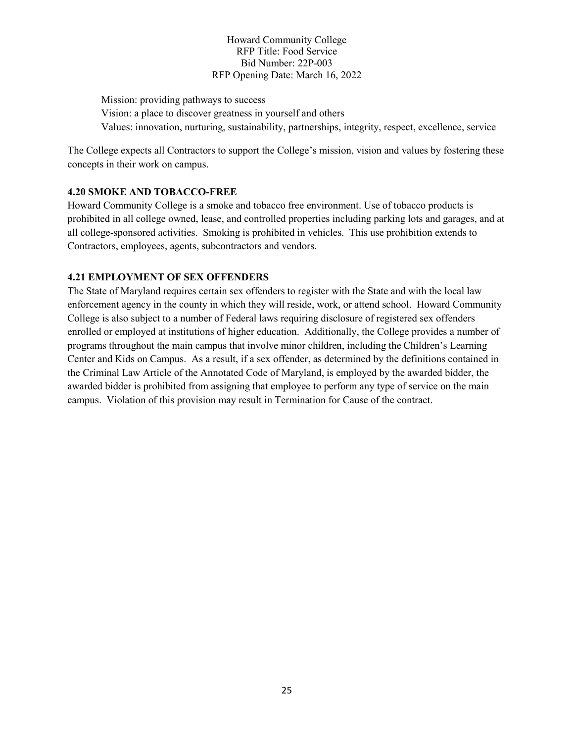Mission: providing pathways to success Vision: a place to discover greatness in yourself and others Values: innovation, nurturing, sustainability, partnerships, integrity, respect, excellence, service

The College expects all Contractors to support the College's mission, vision and values by fostering these concepts in their work on campus.

### **4.20 SMOKE AND TOBACCO-FREE**

Howard Community College is a smoke and tobacco free environment. Use of tobacco products is prohibited in all college owned, lease, and controlled properties including parking lots and garages, and at all college-sponsored activities. Smoking is prohibited in vehicles. This use prohibition extends to Contractors, employees, agents, subcontractors and vendors.

#### **4.21 EMPLOYMENT OF SEX OFFENDERS**

The State of Maryland requires certain sex offenders to register with the State and with the local law enforcement agency in the county in which they will reside, work, or attend school. Howard Community College is also subject to a number of Federal laws requiring disclosure of registered sex offenders enrolled or employed at institutions of higher education. Additionally, the College provides a number of programs throughout the main campus that involve minor children, including the Children's Learning Center and Kids on Campus. As a result, if a sex offender, as determined by the definitions contained in the Criminal Law Article of the Annotated Code of Maryland, is employed by the awarded bidder, the awarded bidder is prohibited from assigning that employee to perform any type of service on the main campus. Violation of this provision may result in Termination for Cause of the contract.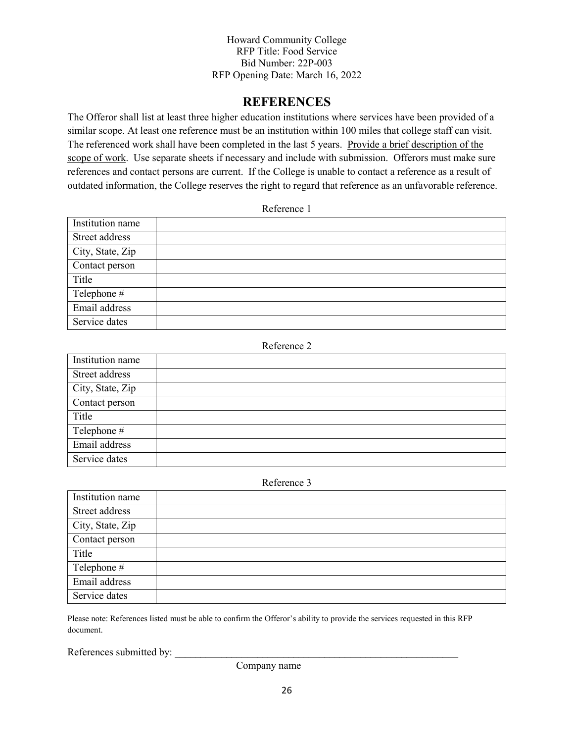## **REFERENCES**

The Offeror shall list at least three higher education institutions where services have been provided of a similar scope. At least one reference must be an institution within 100 miles that college staff can visit. The referenced work shall have been completed in the last 5 years. Provide a brief description of the scope of work. Use separate sheets if necessary and include with submission. Offerors must make sure references and contact persons are current. If the College is unable to contact a reference as a result of outdated information, the College reserves the right to regard that reference as an unfavorable reference.

Reference 1

| Institution name |  |
|------------------|--|
| Street address   |  |
| City, State, Zip |  |
| Contact person   |  |
| Title            |  |
| Telephone #      |  |
| Email address    |  |
| Service dates    |  |

#### Reference 2

| Institution name |  |
|------------------|--|
| Street address   |  |
| City, State, Zip |  |
| Contact person   |  |
| Title            |  |
| Telephone #      |  |
| Email address    |  |
| Service dates    |  |

Reference 3

| Institution name |  |
|------------------|--|
| Street address   |  |
| City, State, Zip |  |
| Contact person   |  |
| Title            |  |
| Telephone #      |  |
| Email address    |  |
| Service dates    |  |

Please note: References listed must be able to confirm the Offeror's ability to provide the services requested in this RFP document.

References submitted by:

Company name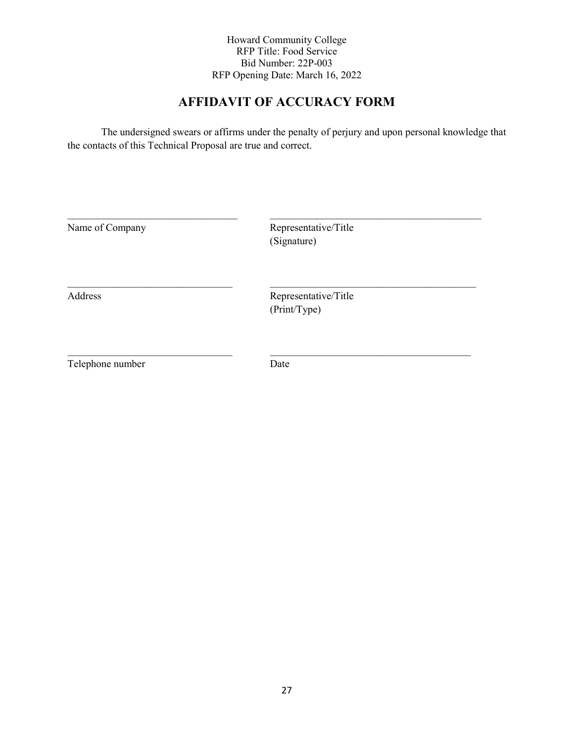## **AFFIDAVIT OF ACCURACY FORM**

The undersigned swears or affirms under the penalty of perjury and upon personal knowledge that the contacts of this Technical Proposal are true and correct.

| Name of Company  | Representative/Title<br>(Signature)  |  |
|------------------|--------------------------------------|--|
| Address          | Representative/Title<br>(Print/Type) |  |
| Telephone number | Date                                 |  |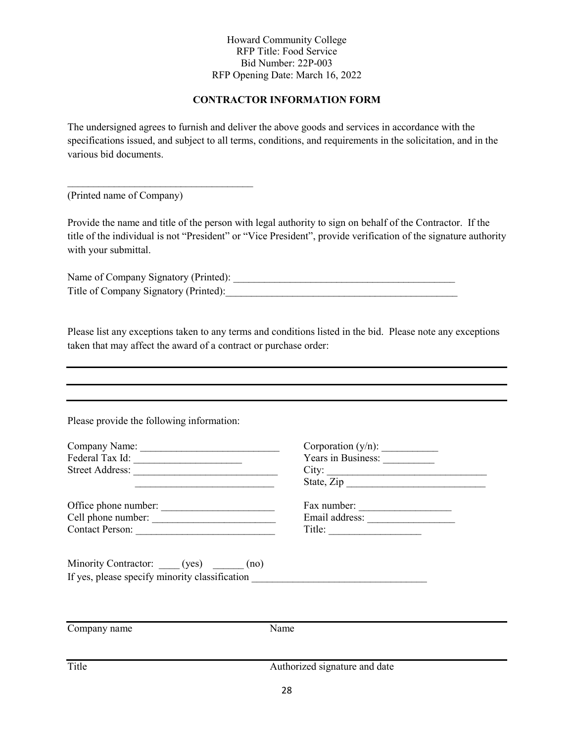### **CONTRACTOR INFORMATION FORM**

The undersigned agrees to furnish and deliver the above goods and services in accordance with the specifications issued, and subject to all terms, conditions, and requirements in the solicitation, and in the various bid documents.

(Printed name of Company)

 $\mathcal{L}_\text{max}$  , and the set of the set of the set of the set of the set of the set of the set of the set of the set of the set of the set of the set of the set of the set of the set of the set of the set of the set of the

Provide the name and title of the person with legal authority to sign on behalf of the Contractor. If the title of the individual is not "President" or "Vice President", provide verification of the signature authority with your submittal.

Name of Company Signatory (Printed): \_\_\_\_\_\_\_\_\_\_\_\_\_\_\_\_\_\_\_\_\_\_\_\_\_\_\_\_\_\_\_\_\_\_\_\_\_\_\_\_\_\_\_ Title of Company Signatory (Printed):

Please list any exceptions taken to any terms and conditions listed in the bid. Please note any exceptions taken that may affect the award of a contract or purchase order:

Please provide the following information:

| Company Name:   | Corporation $(y/n)$ : |
|-----------------|-----------------------|
| Federal Tax Id: | Years in Business:    |
| Street Address: | City:                 |
|                 | State, Zip            |

Office phone number: \_\_\_\_\_\_\_\_\_\_\_\_\_\_\_\_\_\_\_\_\_\_ Fax number: \_\_\_\_\_\_\_\_\_\_\_\_\_\_\_\_\_\_ Cell phone number: \_\_\_\_\_\_\_\_\_\_\_\_\_\_\_\_\_\_\_\_\_\_\_\_ Email address: \_\_\_\_\_\_\_\_\_\_\_\_\_\_\_\_\_ Contact Person: \_\_\_\_\_\_\_\_\_\_\_\_\_\_\_\_\_\_\_\_\_\_\_\_\_\_\_ Title: \_\_\_\_\_\_\_\_\_\_\_\_\_\_\_\_\_\_

| Corporation $(y/n)$ : |  |
|-----------------------|--|
| Years in Business:    |  |
| City:                 |  |
| State, Zip            |  |
|                       |  |

| rax number:    |  |
|----------------|--|
| Email address: |  |
| Title:         |  |

Minority Contractor: \_\_\_\_\_ (yes) \_\_\_\_\_\_ (no) If yes, please specify minority classification

Company name Name Title Authorized signature and date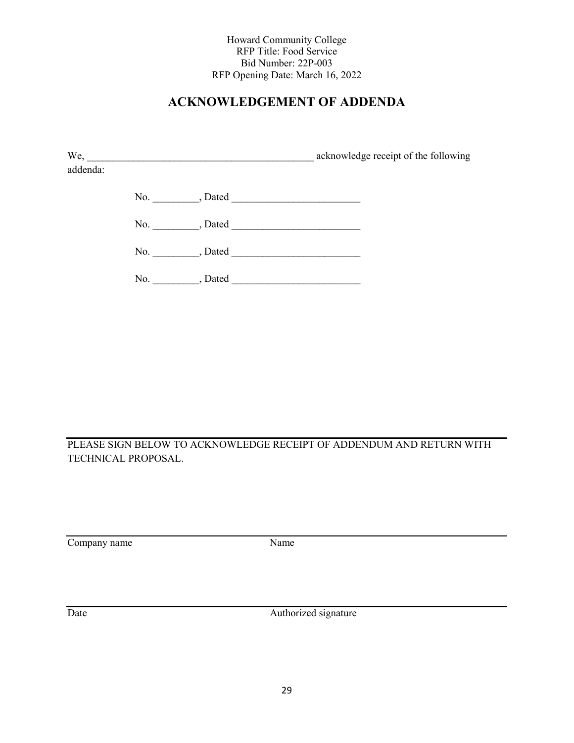## **ACKNOWLEDGEMENT OF ADDENDA**

| We,      | the contract of the contract of the contract of the contract of the contract of | acknowledge receipt of the following |
|----------|---------------------------------------------------------------------------------|--------------------------------------|
| addenda: |                                                                                 |                                      |
|          | No., Dated                                                                      |                                      |
|          | No., Dated                                                                      |                                      |
|          | , Dated<br>No.                                                                  |                                      |
|          | No.<br>, Dated                                                                  |                                      |

PLEASE SIGN BELOW TO ACKNOWLEDGE RECEIPT OF ADDENDUM AND RETURN WITH TECHNICAL PROPOSAL.

Company name Name

Date Authorized signature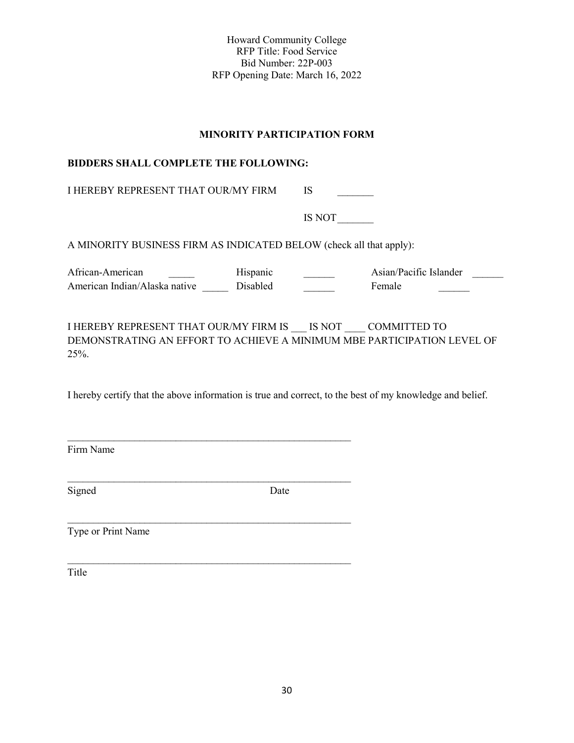#### **MINORITY PARTICIPATION FORM**

#### **BIDDERS SHALL COMPLETE THE FOLLOWING:**

I HEREBY REPRESENT THAT OUR/MY FIRM IS

\_\_\_\_\_\_\_\_\_\_\_\_\_\_\_\_\_\_\_\_\_\_\_\_\_\_\_\_\_\_\_\_\_\_\_\_\_\_\_\_\_\_\_\_\_\_\_\_\_\_\_\_\_\_\_

\_\_\_\_\_\_\_\_\_\_\_\_\_\_\_\_\_\_\_\_\_\_\_\_\_\_\_\_\_\_\_\_\_\_\_\_\_\_\_\_\_\_\_\_\_\_\_\_\_\_\_\_\_\_\_

\_\_\_\_\_\_\_\_\_\_\_\_\_\_\_\_\_\_\_\_\_\_\_\_\_\_\_\_\_\_\_\_\_\_\_\_\_\_\_\_\_\_\_\_\_\_\_\_\_\_\_\_\_\_\_

IS NOT

A MINORITY BUSINESS FIRM AS INDICATED BELOW (check all that apply):

African-American \_\_\_\_\_\_ Hispanic \_\_\_\_\_ Asian/Pacific Islander \_\_\_\_\_ American Indian/Alaska native Disabled Female

I HEREBY REPRESENT THAT OUR/MY FIRM IS \_\_\_ IS NOT \_\_\_\_ COMMITTED TO DEMONSTRATING AN EFFORT TO ACHIEVE A MINIMUM MBE PARTICIPATION LEVEL OF 25%.

I hereby certify that the above information is true and correct, to the best of my knowledge and belief.

Firm Name

Signed Date

Type or Print Name

Title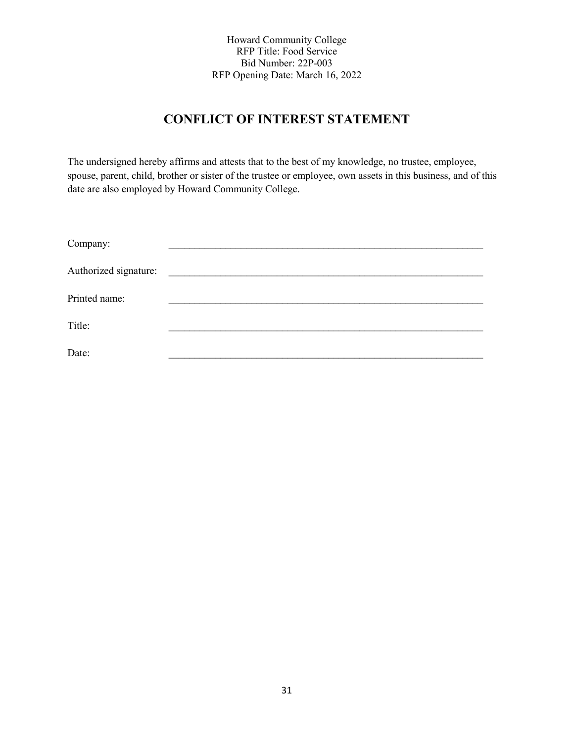## **CONFLICT OF INTEREST STATEMENT**

The undersigned hereby affirms and attests that to the best of my knowledge, no trustee, employee, spouse, parent, child, brother or sister of the trustee or employee, own assets in this business, and of this date are also employed by Howard Community College.

| Company:              |  |
|-----------------------|--|
| Authorized signature: |  |
| Printed name:         |  |
| Title:                |  |
| Date:                 |  |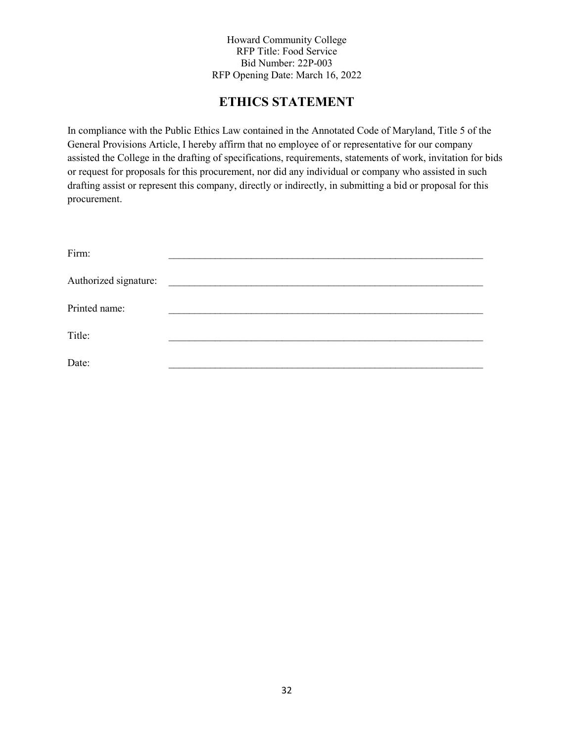## **ETHICS STATEMENT**

In compliance with the Public Ethics Law contained in the Annotated Code of Maryland, Title 5 of the General Provisions Article, I hereby affirm that no employee of or representative for our company assisted the College in the drafting of specifications, requirements, statements of work, invitation for bids or request for proposals for this procurement, nor did any individual or company who assisted in such drafting assist or represent this company, directly or indirectly, in submitting a bid or proposal for this procurement.

| Firm:                 |  |
|-----------------------|--|
| Authorized signature: |  |
| Printed name:         |  |
| Title:                |  |
| Date:                 |  |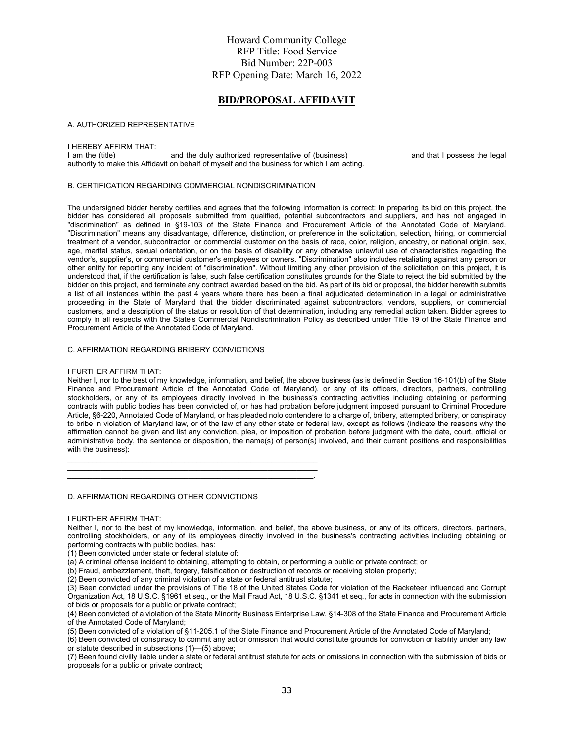#### **BID/PROPOSAL AFFIDAVIT**

#### A. AUTHORIZED REPRESENTATIVE

## I HEREBY AFFIRM THAT:<br>I am the (title)

and the duly authorized representative of (business) and that I possess the legal authority to make this Affidavit on behalf of myself and the business for which I am acting.

#### B. CERTIFICATION REGARDING COMMERCIAL NONDISCRIMINATION

The undersigned bidder hereby certifies and agrees that the following information is correct: In preparing its bid on this project, the bidder has considered all proposals submitted from qualified, potential subcontractors and suppliers, and has not engaged in "discrimination" as defined in §19-103 of the State Finance and Procurement Article of the Annotated Code of Maryland. "Discrimination" means any disadvantage, difference, distinction, or preference in the solicitation, selection, hiring, or commercial treatment of a vendor, subcontractor, or commercial customer on the basis of race, color, religion, ancestry, or national origin, sex, age, marital status, sexual orientation, or on the basis of disability or any otherwise unlawful use of characteristics regarding the vendor's, supplier's, or commercial customer's employees or owners. "Discrimination" also includes retaliating against any person or other entity for reporting any incident of "discrimination". Without limiting any other provision of the solicitation on this project, it is understood that, if the certification is false, such false certification constitutes grounds for the State to reject the bid submitted by the bidder on this project, and terminate any contract awarded based on the bid. As part of its bid or proposal, the bidder herewith submits a list of all instances within the past 4 years where there has been a final adjudicated determination in a legal or administrative proceeding in the State of Maryland that the bidder discriminated against subcontractors, vendors, suppliers, or commercial customers, and a description of the status or resolution of that determination, including any remedial action taken. Bidder agrees to comply in all respects with the State's Commercial Nondiscrimination Policy as described under Title 19 of the State Finance and Procurement Article of the Annotated Code of Maryland.

#### C. AFFIRMATION REGARDING BRIBERY CONVICTIONS

#### I FURTHER AFFIRM THAT:

Neither I, nor to the best of my knowledge, information, and belief, the above business (as is defined in Section 16-101(b) of the State Finance and Procurement Article of the Annotated Code of Maryland), or any of its officers, directors, partners, controlling stockholders, or any of its employees directly involved in the business's contracting activities including obtaining or performing contracts with public bodies has been convicted of, or has had probation before judgment imposed pursuant to Criminal Procedure Article, §6-220, Annotated Code of Maryland, or has pleaded nolo contendere to a charge of, bribery, attempted bribery, or conspiracy to bribe in violation of Maryland law, or of the law of any other state or federal law, except as follows (indicate the reasons why the affirmation cannot be given and list any conviction, plea, or imposition of probation before judgment with the date, court, official or administrative body, the sentence or disposition, the name(s) of person(s) involved, and their current positions and responsibilities with the business):

D. AFFIRMATION REGARDING OTHER CONVICTIONS

#### I FURTHER AFFIRM THAT:

Neither I, nor to the best of my knowledge, information, and belief, the above business, or any of its officers, directors, partners, controlling stockholders, or any of its employees directly involved in the business's contracting activities including obtaining or performing contracts with public bodies, has:

(1) Been convicted under state or federal statute of:

(a) A criminal offense incident to obtaining, attempting to obtain, or performing a public or private contract; or

(b) Fraud, embezzlement, theft, forgery, falsification or destruction of records or receiving stolen property;

(2) Been convicted of any criminal violation of a state or federal antitrust statute;

\_\_\_\_\_\_\_\_\_\_\_\_\_\_\_\_\_\_\_\_\_\_\_\_\_\_\_\_\_\_\_\_\_\_\_\_\_\_\_\_\_\_\_\_\_\_\_\_\_\_\_\_\_\_\_\_\_\_\_\_  $\frac{1}{2}$  ,  $\frac{1}{2}$  ,  $\frac{1}{2}$  ,  $\frac{1}{2}$  ,  $\frac{1}{2}$  ,  $\frac{1}{2}$  ,  $\frac{1}{2}$  ,  $\frac{1}{2}$  ,  $\frac{1}{2}$  ,  $\frac{1}{2}$  ,  $\frac{1}{2}$  ,  $\frac{1}{2}$  ,  $\frac{1}{2}$  ,  $\frac{1}{2}$  ,  $\frac{1}{2}$  ,  $\frac{1}{2}$  ,  $\frac{1}{2}$  ,  $\frac{1}{2}$  ,  $\frac{1$  $\mathcal{L}_\text{max} = \mathcal{L}_\text{max} = \mathcal{L}_\text{max} = \mathcal{L}_\text{max} = \mathcal{L}_\text{max} = \mathcal{L}_\text{max} = \mathcal{L}_\text{max} = \mathcal{L}_\text{max} = \mathcal{L}_\text{max} = \mathcal{L}_\text{max} = \mathcal{L}_\text{max} = \mathcal{L}_\text{max} = \mathcal{L}_\text{max} = \mathcal{L}_\text{max} = \mathcal{L}_\text{max} = \mathcal{L}_\text{max} = \mathcal{L}_\text{max} = \mathcal{L}_\text{max} = \mathcal{$ 

(3) Been convicted under the provisions of Title 18 of the United States Code for violation of the Racketeer Influenced and Corrupt Organization Act, 18 U.S.C. §1961 et seq., or the Mail Fraud Act, 18 U.S.C. §1341 et seq., for acts in connection with the submission of bids or proposals for a public or private contract;

(4) Been convicted of a violation of the State Minority Business Enterprise Law, §14-308 of the State Finance and Procurement Article of the Annotated Code of Maryland;

(5) Been convicted of a violation of §11-205.1 of the State Finance and Procurement Article of the Annotated Code of Maryland;

(6) Been convicted of conspiracy to commit any act or omission that would constitute grounds for conviction or liability under any law or statute described in subsections (1)—(5) above;

(7) Been found civilly liable under a state or federal antitrust statute for acts or omissions in connection with the submission of bids or proposals for a public or private contract;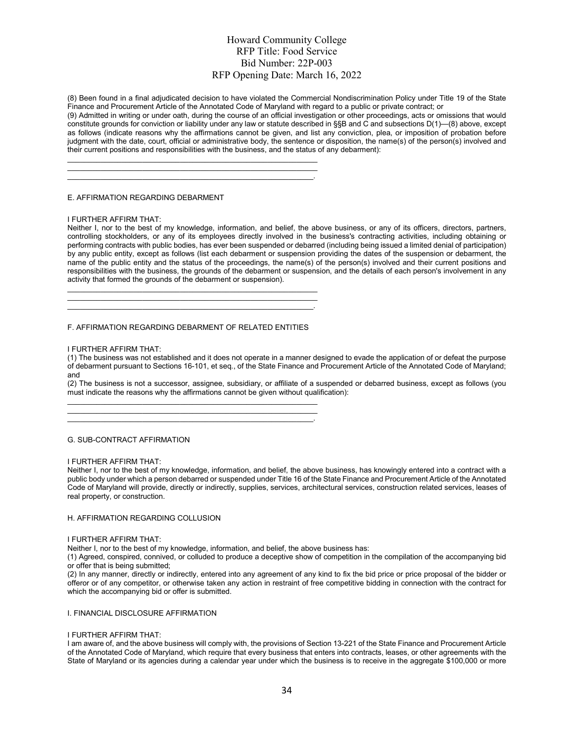(8) Been found in a final adjudicated decision to have violated the Commercial Nondiscrimination Policy under Title 19 of the State Finance and Procurement Article of the Annotated Code of Maryland with regard to a public or private contract; or

(9) Admitted in writing or under oath, during the course of an official investigation or other proceedings, acts or omissions that would constitute grounds for conviction or liability under any law or statute described in §§B and C and subsections D(1)—(8) above, except as follows (indicate reasons why the affirmations cannot be given, and list any conviction, plea, or imposition of probation before judgment with the date, court, official or administrative body, the sentence or disposition, the name(s) of the person(s) involved and their current positions and responsibilities with the business, and the status of any debarment):

E. AFFIRMATION REGARDING DEBARMENT

#### I FURTHER AFFIRM THAT:

Neither I, nor to the best of my knowledge, information, and belief, the above business, or any of its officers, directors, partners, controlling stockholders, or any of its employees directly involved in the business's contracting activities, including obtaining or performing contracts with public bodies, has ever been suspended or debarred (including being issued a limited denial of participation) by any public entity, except as follows (list each debarment or suspension providing the dates of the suspension or debarment, the name of the public entity and the status of the proceedings, the name(s) of the person(s) involved and their current positions and responsibilities with the business, the grounds of the debarment or suspension, and the details of each person's involvement in any activity that formed the grounds of the debarment or suspension).

\_\_\_\_\_\_\_\_\_\_\_\_\_\_\_\_\_\_\_\_\_\_\_\_\_\_\_\_\_\_\_\_\_\_\_\_\_\_\_\_\_\_\_\_\_\_\_\_\_\_\_\_\_\_\_\_\_\_\_\_ \_\_\_\_\_\_\_\_\_\_\_\_\_\_\_\_\_\_\_\_\_\_\_\_\_\_\_\_\_\_\_\_\_\_\_\_\_\_\_\_\_\_\_\_\_\_\_\_\_\_\_\_\_\_\_\_\_\_\_\_ \_\_\_\_\_\_\_\_\_\_\_\_\_\_\_\_\_\_\_\_\_\_\_\_\_\_\_\_\_\_\_\_\_\_\_\_\_\_\_\_\_\_\_\_\_\_\_\_\_\_\_\_\_\_\_\_\_\_\_.

\_\_\_\_\_\_\_\_\_\_\_\_\_\_\_\_\_\_\_\_\_\_\_\_\_\_\_\_\_\_\_\_\_\_\_\_\_\_\_\_\_\_\_\_\_\_\_\_\_\_\_\_\_\_\_\_\_\_\_\_ \_\_\_\_\_\_\_\_\_\_\_\_\_\_\_\_\_\_\_\_\_\_\_\_\_\_\_\_\_\_\_\_\_\_\_\_\_\_\_\_\_\_\_\_\_\_\_\_\_\_\_\_\_\_\_\_\_\_\_\_ \_\_\_\_\_\_\_\_\_\_\_\_\_\_\_\_\_\_\_\_\_\_\_\_\_\_\_\_\_\_\_\_\_\_\_\_\_\_\_\_\_\_\_\_\_\_\_\_\_\_\_\_\_\_\_\_\_\_\_.

#### F. AFFIRMATION REGARDING DEBARMENT OF RELATED ENTITIES

\_\_\_\_\_\_\_\_\_\_\_\_\_\_\_\_\_\_\_\_\_\_\_\_\_\_\_\_\_\_\_\_\_\_\_\_\_\_\_\_\_\_\_\_\_\_\_\_\_\_\_\_\_\_\_\_\_\_\_\_ \_\_\_\_\_\_\_\_\_\_\_\_\_\_\_\_\_\_\_\_\_\_\_\_\_\_\_\_\_\_\_\_\_\_\_\_\_\_\_\_\_\_\_\_\_\_\_\_\_\_\_\_\_\_\_\_\_\_\_\_ \_\_\_\_\_\_\_\_\_\_\_\_\_\_\_\_\_\_\_\_\_\_\_\_\_\_\_\_\_\_\_\_\_\_\_\_\_\_\_\_\_\_\_\_\_\_\_\_\_\_\_\_\_\_\_\_\_\_\_.

#### I FURTHER AFFIRM THAT:

(1) The business was not established and it does not operate in a manner designed to evade the application of or defeat the purpose of debarment pursuant to Sections 16-101, et seq., of the State Finance and Procurement Article of the Annotated Code of Maryland; and

(2) The business is not a successor, assignee, subsidiary, or affiliate of a suspended or debarred business, except as follows (you must indicate the reasons why the affirmations cannot be given without qualification):

#### G. SUB-CONTRACT AFFIRMATION

#### I FURTHER AFFIRM THAT:

Neither I, nor to the best of my knowledge, information, and belief, the above business, has knowingly entered into a contract with a public body under which a person debarred or suspended under Title 16 of the State Finance and Procurement Article of the Annotated Code of Maryland will provide, directly or indirectly, supplies, services, architectural services, construction related services, leases of real property, or construction.

#### H. AFFIRMATION REGARDING COLLUSION

#### I FURTHER AFFIRM THAT:

Neither I, nor to the best of my knowledge, information, and belief, the above business has:

(1) Agreed, conspired, connived, or colluded to produce a deceptive show of competition in the compilation of the accompanying bid or offer that is being submitted;

(2) In any manner, directly or indirectly, entered into any agreement of any kind to fix the bid price or price proposal of the bidder or offeror or of any competitor, or otherwise taken any action in restraint of free competitive bidding in connection with the contract for which the accompanying bid or offer is submitted.

#### I. FINANCIAL DISCLOSURE AFFIRMATION

#### I FURTHER AFFIRM THAT:

I am aware of, and the above business will comply with, the provisions of Section 13-221 of the State Finance and Procurement Article of the Annotated Code of Maryland, which require that every business that enters into contracts, leases, or other agreements with the State of Maryland or its agencies during a calendar year under which the business is to receive in the aggregate \$100,000 or more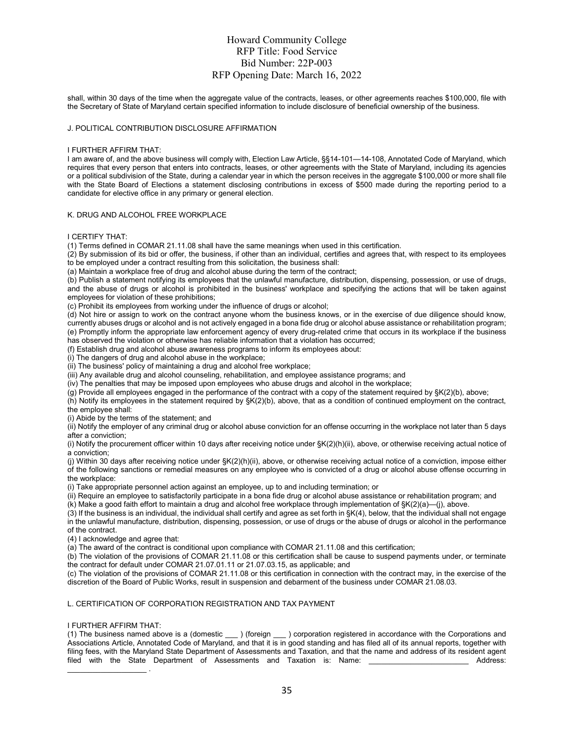shall, within 30 days of the time when the aggregate value of the contracts, leases, or other agreements reaches \$100,000, file with the Secretary of State of Maryland certain specified information to include disclosure of beneficial ownership of the business.

#### J. POLITICAL CONTRIBUTION DISCLOSURE AFFIRMATION

#### I FURTHER AFFIRM THAT:

I am aware of, and the above business will comply with, Election Law Article, §§14-101—14-108, Annotated Code of Maryland, which requires that every person that enters into contracts, leases, or other agreements with the State of Maryland, including its agencies or a political subdivision of the State, during a calendar year in which the person receives in the aggregate \$100,000 or more shall file with the State Board of Elections a statement disclosing contributions in excess of \$500 made during the reporting period to a candidate for elective office in any primary or general election.

#### K. DRUG AND ALCOHOL FREE WORKPLACE

#### I CERTIFY THAT:

(1) Terms defined in COMAR 21.11.08 shall have the same meanings when used in this certification.

 $(2)$  By submission of its bid or offer, the business, if other than an individual, certifies and agrees that, with respect to its employees to be employed under a contract resulting from this solicitation, the business shall:

(a) Maintain a workplace free of drug and alcohol abuse during the term of the contract;

(b) Publish a statement notifying its employees that the unlawful manufacture, distribution, dispensing, possession, or use of drugs, and the abuse of drugs or alcohol is prohibited in the business' workplace and specifying the actions that will be taken against employees for violation of these prohibitions;

(c) Prohibit its employees from working under the influence of drugs or alcohol;

(d) Not hire or assign to work on the contract anyone whom the business knows, or in the exercise of due diligence should know, currently abuses drugs or alcohol and is not actively engaged in a bona fide drug or alcohol abuse assistance or rehabilitation program; (e) Promptly inform the appropriate law enforcement agency of every drug-related crime that occurs in its workplace if the business has observed the violation or otherwise has reliable information that a violation has occurred;

(f) Establish drug and alcohol abuse awareness programs to inform its employees about:

(i) The dangers of drug and alcohol abuse in the workplace;

(ii) The business' policy of maintaining a drug and alcohol free workplace;

(iii) Any available drug and alcohol counseling, rehabilitation, and employee assistance programs; and

(iv) The penalties that may be imposed upon employees who abuse drugs and alcohol in the workplace;

(g) Provide all employees engaged in the performance of the contract with a copy of the statement required by §K(2)(b), above;

(h) Notify its employees in the statement required by §K(2)(b), above, that as a condition of continued employment on the contract, the employee shall:

(i) Abide by the terms of the statement; and

(ii) Notify the employer of any criminal drug or alcohol abuse conviction for an offense occurring in the workplace not later than 5 days after a conviction;

(i) Notify the procurement officer within 10 days after receiving notice under §K(2)(h)(ii), above, or otherwise receiving actual notice of a conviction;

(j) Within 30 days after receiving notice under §K(2)(h)(ii), above, or otherwise receiving actual notice of a conviction, impose either of the following sanctions or remedial measures on any employee who is convicted of a drug or alcohol abuse offense occurring in the workplace:

(i) Take appropriate personnel action against an employee, up to and including termination; or

(ii) Require an employee to satisfactorily participate in a bona fide drug or alcohol abuse assistance or rehabilitation program; and

(k) Make a good faith effort to maintain a drug and alcohol free workplace through implementation of §K(2)(a)—(j), above.

(3) If the business is an individual, the individual shall certify and agree as set forth in §K(4), below, that the individual shall not engage in the unlawful manufacture, distribution, dispensing, possession, or use of drugs or the abuse of drugs or alcohol in the performance of the contract.

(4) I acknowledge and agree that:

(a) The award of the contract is conditional upon compliance with COMAR 21.11.08 and this certification;

 $(b)$  The violation of the provisions of COMAR 21.11.08 or this certification shall be cause to suspend payments under, or terminate the contract for default under COMAR 21.07.01.11 or 21.07.03.15, as applicable; and

(c) The violation of the provisions of COMAR 21.11.08 or this certification in connection with the contract may, in the exercise of the discretion of the Board of Public Works, result in suspension and debarment of the business under COMAR 21.08.03.

#### L. CERTIFICATION OF CORPORATION REGISTRATION AND TAX PAYMENT

#### I FURTHER AFFIRM THAT:

(1) The business named above is a (domestic \_\_\_ ) (foreign \_\_\_ ) corporation registered in accordance with the Corporations and Associations Article, Annotated Code of Maryland, and that it is in good standing and has filed all of its annual reports, together with filing fees, with the Maryland State Department of Assessments and Taxation, and that the name and address of its resident agent filed with the State Department of Assessments and Taxation is: Name: \_\_\_\_\_\_\_\_\_\_\_\_\_\_\_\_\_\_\_\_\_\_\_\_\_\_\_\_ Address:  $\mathcal{L}_\text{max}$  . The set of the set of the set of the set of the set of the set of the set of the set of the set of the set of the set of the set of the set of the set of the set of the set of the set of the set of the set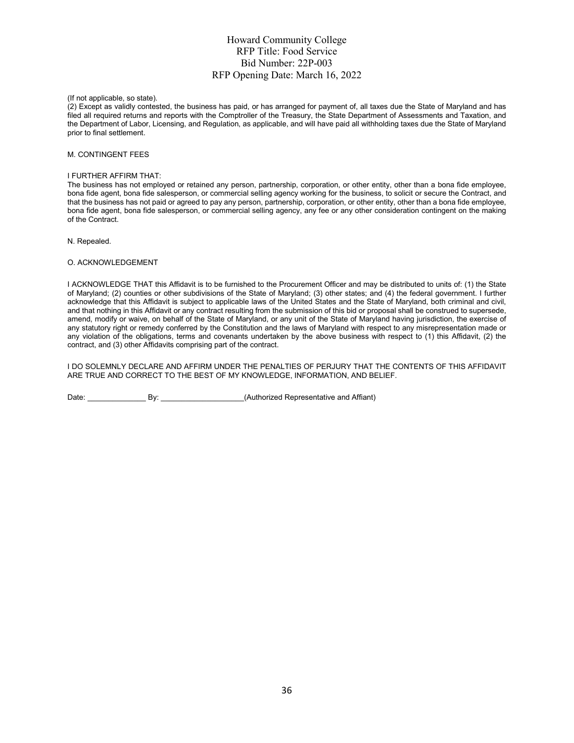(If not applicable, so state).

(2) Except as validly contested, the business has paid, or has arranged for payment of, all taxes due the State of Maryland and has filed all required returns and reports with the Comptroller of the Treasury, the State Department of Assessments and Taxation, and the Department of Labor, Licensing, and Regulation, as applicable, and will have paid all withholding taxes due the State of Maryland prior to final settlement.

#### M. CONTINGENT FEES

#### I FURTHER AFFIRM THAT:

The business has not employed or retained any person, partnership, corporation, or other entity, other than a bona fide employee, bona fide agent, bona fide salesperson, or commercial selling agency working for the business, to solicit or secure the Contract, and that the business has not paid or agreed to pay any person, partnership, corporation, or other entity, other than a bona fide employee, bona fide agent, bona fide salesperson, or commercial selling agency, any fee or any other consideration contingent on the making of the Contract.

N. Repealed.

#### O. ACKNOWLEDGEMENT

I ACKNOWLEDGE THAT this Affidavit is to be furnished to the Procurement Officer and may be distributed to units of: (1) the State of Maryland; (2) counties or other subdivisions of the State of Maryland; (3) other states; and (4) the federal government. I further acknowledge that this Affidavit is subject to applicable laws of the United States and the State of Maryland, both criminal and civil, and that nothing in this Affidavit or any contract resulting from the submission of this bid or proposal shall be construed to supersede, amend, modify or waive, on behalf of the State of Maryland, or any unit of the State of Maryland having jurisdiction, the exercise of any statutory right or remedy conferred by the Constitution and the laws of Maryland with respect to any misrepresentation made or any violation of the obligations, terms and covenants undertaken by the above business with respect to (1) this Affidavit, (2) the contract, and (3) other Affidavits comprising part of the contract.

I DO SOLEMNLY DECLARE AND AFFIRM UNDER THE PENALTIES OF PERJURY THAT THE CONTENTS OF THIS AFFIDAVIT ARE TRUE AND CORRECT TO THE BEST OF MY KNOWLEDGE, INFORMATION, AND BELIEF.

Date: \_\_\_\_\_\_\_\_\_\_\_\_\_\_ By: \_\_\_\_\_\_\_\_\_\_\_\_\_\_\_\_\_\_\_\_(Authorized Representative and Affiant)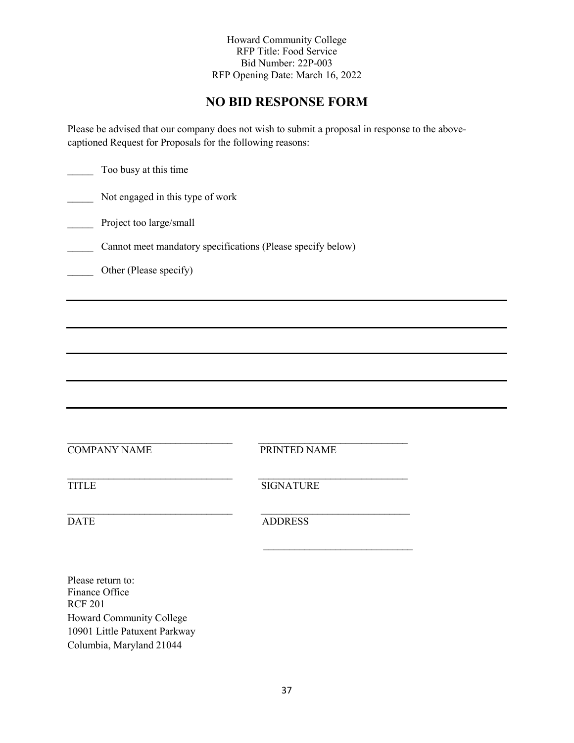## **NO BID RESPONSE FORM**

Please be advised that our company does not wish to submit a proposal in response to the abovecaptioned Request for Proposals for the following reasons:

| Too busy at this time                                       |                  |  |  |  |
|-------------------------------------------------------------|------------------|--|--|--|
| Not engaged in this type of work                            |                  |  |  |  |
| Project too large/small                                     |                  |  |  |  |
| Cannot meet mandatory specifications (Please specify below) |                  |  |  |  |
| Other (Please specify)                                      |                  |  |  |  |
|                                                             |                  |  |  |  |
|                                                             |                  |  |  |  |
|                                                             |                  |  |  |  |
|                                                             |                  |  |  |  |
|                                                             |                  |  |  |  |
| <b>COMPANY NAME</b>                                         | PRINTED NAME     |  |  |  |
| <b>TITLE</b>                                                | <b>SIGNATURE</b> |  |  |  |
| <b>DATE</b>                                                 | <b>ADDRESS</b>   |  |  |  |
|                                                             |                  |  |  |  |
| Please return to:<br>Finance Office<br><b>RCF 201</b>       |                  |  |  |  |

-

Howard Community College 10901 Little Patuxent Parkway Columbia, Maryland 21044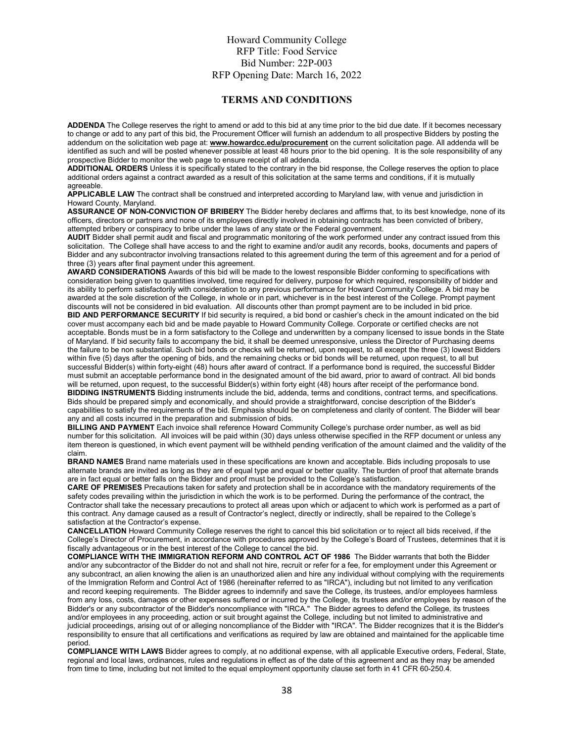#### **TERMS AND CONDITIONS**

**ADDENDA** The College reserves the right to amend or add to this bid at any time prior to the bid due date. If it becomes necessary to change or add to any part of this bid, the Procurement Officer will furnish an addendum to all prospective Bidders by posting the addendum on the solicitation web page at: **[www.howardcc.edu/procurement](http://www.howardcc.edu/procurement)** on the current solicitation page. All addenda will be identified as such and will be posted whenever possible at least 48 hours prior to the bid opening. It is the sole responsibility of any prospective Bidder to monitor the web page to ensure receipt of all addenda.

**ADDITIONAL ORDERS** Unless it is specifically stated to the contrary in the bid response, the College reserves the option to place additional orders against a contract awarded as a result of this solicitation at the same terms and conditions, if it is mutually agreeable.

**APPLICABLE LAW** The contract shall be construed and interpreted according to Maryland law, with venue and jurisdiction in Howard County, Maryland.

**ASSURANCE OF NON-CONVICTION OF BRIBERY** The Bidder hereby declares and affirms that, to its best knowledge, none of its officers, directors or partners and none of its employees directly involved in obtaining contracts has been convicted of bribery, attempted bribery or conspiracy to bribe under the laws of any state or the Federal government.

**AUDIT** Bidder shall permit audit and fiscal and programmatic monitoring of the work performed under any contract issued from this solicitation. The College shall have access to and the right to examine and/or audit any records, books, documents and papers of Bidder and any subcontractor involving transactions related to this agreement during the term of this agreement and for a period of three (3) years after final payment under this agreement.

**AWARD CONSIDERATIONS** Awards of this bid will be made to the lowest responsible Bidder conforming to specifications with consideration being given to quantities involved, time required for delivery, purpose for which required, responsibility of bidder and its ability to perform satisfactorily with consideration to any previous performance for Howard Community College. A bid may be awarded at the sole discretion of the College, in whole or in part, whichever is in the best interest of the College. Prompt payment discounts will not be considered in bid evaluation. All discounts other than prompt payment are to be included in bid price.

**BID AND PERFORMANCE SECURITY** If bid security is required, a bid bond or cashier's check in the amount indicated on the bid cover must accompany each bid and be made payable to Howard Community College. Corporate or certified checks are not acceptable. Bonds must be in a form satisfactory to the College and underwritten by a company licensed to issue bonds in the State of Maryland. If bid security fails to accompany the bid, it shall be deemed unresponsive, unless the Director of Purchasing deems the failure to be non substantial. Such bid bonds or checks will be returned, upon request, to all except the three (3) lowest Bidders within five (5) days after the opening of bids, and the remaining checks or bid bonds will be returned, upon request, to all but successful Bidder(s) within forty-eight (48) hours after award of contract. If a performance bond is required, the successful Bidder must submit an acceptable performance bond in the designated amount of the bid award, prior to award of contract. All bid bonds will be returned, upon request, to the successful Bidder(s) within forty eight (48) hours after receipt of the performance bond. **BIDDING INSTRUMENTS** Bidding instruments include the bid, addenda, terms and conditions, contract terms, and specifications. Bids should be prepared simply and economically, and should provide a straightforward, concise description of the Bidder's capabilities to satisfy the requirements of the bid. Emphasis should be on completeness and clarity of content. The Bidder will bear any and all costs incurred in the preparation and submission of bids.

**BILLING AND PAYMENT** Each invoice shall reference Howard Community College's purchase order number, as well as bid number for this solicitation. All invoices will be paid within (30) days unless otherwise specified in the RFP document or unless any item thereon is questioned, in which event payment will be withheld pending verification of the amount claimed and the validity of the claim.

**BRAND NAMES** Brand name materials used in these specifications are known and acceptable. Bids including proposals to use alternate brands are invited as long as they are of equal type and equal or better quality. The burden of proof that alternate brands are in fact equal or better falls on the Bidder and proof must be provided to the College's satisfaction.

**CARE OF PREMISES** Precautions taken for safety and protection shall be in accordance with the mandatory requirements of the safety codes prevailing within the jurisdiction in which the work is to be performed. During the performance of the contract, the Contractor shall take the necessary precautions to protect all areas upon which or adjacent to which work is performed as a part of this contract. Any damage caused as a result of Contractor's neglect, directly or indirectly, shall be repaired to the College's satisfaction at the Contractor's expense.

**CANCELLATION** Howard Community College reserves the right to cancel this bid solicitation or to reject all bids received, if the College's Director of Procurement, in accordance with procedures approved by the College's Board of Trustees, determines that it is fiscally advantageous or in the best interest of the College to cancel the bid.

**COMPLIANCE WITH THE IMMIGRATION REFORM AND CONTROL ACT OF 1986** The Bidder warrants that both the Bidder and/or any subcontractor of the Bidder do not and shall not hire, recruit or refer for a fee, for employment under this Agreement or any subcontract, an alien knowing the alien is an unauthorized alien and hire any individual without complying with the requirements of the Immigration Reform and Control Act of 1986 (hereinafter referred to as "IRCA"), including but not limited to any verification and record keeping requirements. The Bidder agrees to indemnify and save the College, its trustees, and/or employees harmless from any loss, costs, damages or other expenses suffered or incurred by the College, its trustees and/or employees by reason of the Bidder's or any subcontractor of the Bidder's noncompliance with "IRCA." The Bidder agrees to defend the College, its trustees and/or employees in any proceeding, action or suit brought against the College, including but not limited to administrative and judicial proceedings, arising out of or alleging noncompliance of the Bidder with "IRCA". The Bidder recognizes that it is the Bidder's responsibility to ensure that all certifications and verifications as required by law are obtained and maintained for the applicable time period.

**COMPLIANCE WITH LAWS** Bidder agrees to comply, at no additional expense, with all applicable Executive orders, Federal, State, regional and local laws, ordinances, rules and regulations in effect as of the date of this agreement and as they may be amended from time to time, including but not limited to the equal employment opportunity clause set forth in 41 CFR 60-250.4.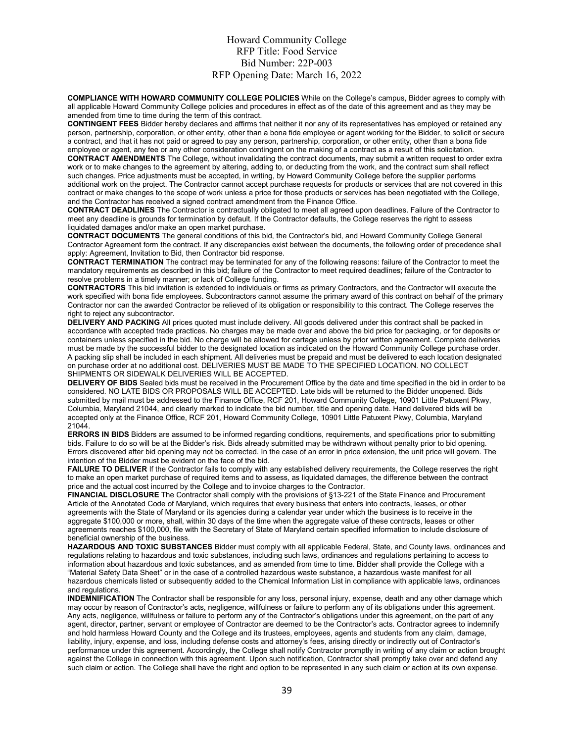**COMPLIANCE WITH HOWARD COMMUNITY COLLEGE POLICIES** While on the College's campus, Bidder agrees to comply with all applicable Howard Community College policies and procedures in effect as of the date of this agreement and as they may be amended from time to time during the term of this contract.

**CONTINGENT FEES** Bidder hereby declares and affirms that neither it nor any of its representatives has employed or retained any person, partnership, corporation, or other entity, other than a bona fide employee or agent working for the Bidder, to solicit or secure a contract, and that it has not paid or agreed to pay any person, partnership, corporation, or other entity, other than a bona fide employee or agent, any fee or any other consideration contingent on the making of a contract as a result of this solicitation.

**CONTRACT AMENDMENTS** The College, without invalidating the contract documents, may submit a written request to order extra work or to make changes to the agreement by altering, adding to, or deducting from the work, and the contract sum shall reflect such changes. Price adjustments must be accepted, in writing, by Howard Community College before the supplier performs additional work on the project. The Contractor cannot accept purchase requests for products or services that are not covered in this contract or make changes to the scope of work unless a price for those products or services has been negotiated with the College, and the Contractor has received a signed contract amendment from the Finance Office.

**CONTRACT DEADLINES** The Contractor is contractually obligated to meet all agreed upon deadlines. Failure of the Contractor to meet any deadline is grounds for termination by default. If the Contractor defaults, the College reserves the right to assess liquidated damages and/or make an open market purchase.

**CONTRACT DOCUMENTS** The general conditions of this bid, the Contractor's bid, and Howard Community College General Contractor Agreement form the contract. If any discrepancies exist between the documents, the following order of precedence shall apply: Agreement, Invitation to Bid, then Contractor bid response.

**CONTRACT TERMINATION** The contract may be terminated for any of the following reasons: failure of the Contractor to meet the mandatory requirements as described in this bid; failure of the Contractor to meet required deadlines; failure of the Contractor to resolve problems in a timely manner; or lack of College funding.

**CONTRACTORS** This bid invitation is extended to individuals or firms as primary Contractors, and the Contractor will execute the work specified with bona fide employees. Subcontractors cannot assume the primary award of this contract on behalf of the primary Contractor nor can the awarded Contractor be relieved of its obligation or responsibility to this contract. The College reserves the right to reject any subcontractor.

**DELIVERY AND PACKING** All prices quoted must include delivery. All goods delivered under this contract shall be packed in accordance with accepted trade practices. No charges may be made over and above the bid price for packaging, or for deposits or containers unless specified in the bid. No charge will be allowed for cartage unless by prior written agreement. Complete deliveries must be made by the successful bidder to the designated location as indicated on the Howard Community College purchase order. A packing slip shall be included in each shipment. All deliveries must be prepaid and must be delivered to each location designated on purchase order at no additional cost. DELIVERIES MUST BE MADE TO THE SPECIFIED LOCATION. NO COLLECT SHIPMENTS OR SIDEWALK DELIVERIES WILL BE ACCEPTED.

**DELIVERY OF BIDS** Sealed bids must be received in the Procurement Office by the date and time specified in the bid in order to be considered. NO LATE BIDS OR PROPOSALS WILL BE ACCEPTED. Late bids will be returned to the Bidder unopened. Bids submitted by mail must be addressed to the Finance Office, RCF 201, Howard Community College, 10901 Little Patuxent Pkwy, Columbia, Maryland 21044, and clearly marked to indicate the bid number, title and opening date. Hand delivered bids will be accepted only at the Finance Office, RCF 201, Howard Community College, 10901 Little Patuxent Pkwy, Columbia, Maryland 21044.

**ERRORS IN BIDS** Bidders are assumed to be informed regarding conditions, requirements, and specifications prior to submitting bids. Failure to do so will be at the Bidder's risk. Bids already submitted may be withdrawn without penalty prior to bid opening. Errors discovered after bid opening may not be corrected. In the case of an error in price extension, the unit price will govern. The intention of the Bidder must be evident on the face of the bid.

**FAILURE TO DELIVER** If the Contractor fails to comply with any established delivery requirements, the College reserves the right to make an open market purchase of required items and to assess, as liquidated damages, the difference between the contract price and the actual cost incurred by the College and to invoice charges to the Contractor.

**FINANCIAL DISCLOSURE** The Contractor shall comply with the provisions of §13-221 of the State Finance and Procurement Article of the Annotated Code of Maryland, which requires that every business that enters into contracts, leases, or other agreements with the State of Maryland or its agencies during a calendar year under which the business is to receive in the aggregate \$100,000 or more, shall, within 30 days of the time when the aggregate value of these contracts, leases or other agreements reaches \$100,000, file with the Secretary of State of Maryland certain specified information to include disclosure of beneficial ownership of the business.

**HAZARDOUS AND TOXIC SUBSTANCES** Bidder must comply with all applicable Federal, State, and County laws, ordinances and regulations relating to hazardous and toxic substances, including such laws, ordinances and regulations pertaining to access to information about hazardous and toxic substances, and as amended from time to time. Bidder shall provide the College with a "Material Safety Data Sheet" or in the case of a controlled hazardous waste substance, a hazardous waste manifest for all hazardous chemicals listed or subsequently added to the Chemical Information List in compliance with applicable laws, ordinances and regulations.

**INDEMNIFICATION** The Contractor shall be responsible for any loss, personal injury, expense, death and any other damage which may occur by reason of Contractor's acts, negligence, willfulness or failure to perform any of its obligations under this agreement. Any acts, negligence, willfulness or failure to perform any of the Contractor's obligations under this agreement, on the part of any agent, director, partner, servant or employee of Contractor are deemed to be the Contractor's acts. Contractor agrees to indemnify and hold harmless Howard County and the College and its trustees, employees, agents and students from any claim, damage, liability, injury, expense, and loss, including defense costs and attorney's fees, arising directly or indirectly out of Contractor's performance under this agreement. Accordingly, the College shall notify Contractor promptly in writing of any claim or action brought against the College in connection with this agreement. Upon such notification, Contractor shall promptly take over and defend any such claim or action. The College shall have the right and option to be represented in any such claim or action at its own expense.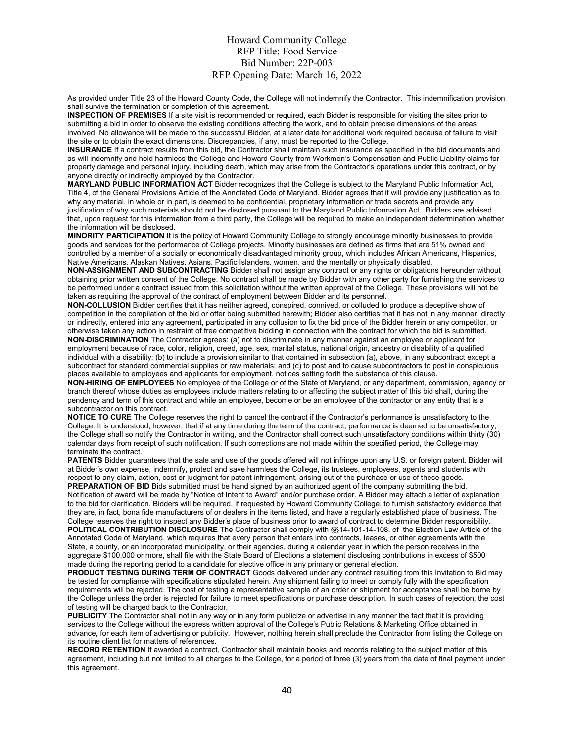As provided under Title 23 of the Howard County Code, the College will not indemnify the Contractor. This indemnification provision shall survive the termination or completion of this agreement.

**INSPECTION OF PREMISES** If a site visit is recommended or required, each Bidder is responsible for visiting the sites prior to submitting a bid in order to observe the existing conditions affecting the work, and to obtain precise dimensions of the areas involved. No allowance will be made to the successful Bidder, at a later date for additional work required because of failure to visit the site or to obtain the exact dimensions. Discrepancies, if any, must be reported to the College.

**INSURANCE** If a contract results from this bid, the Contractor shall maintain such insurance as specified in the bid documents and as will indemnify and hold harmless the College and Howard County from Workmen's Compensation and Public Liability claims for property damage and personal injury, including death, which may arise from the Contractor's operations under this contract, or by anyone directly or indirectly employed by the Contractor.

**MARYLAND PUBLIC INFORMATION ACT** Bidder recognizes that the College is subject to the Maryland Public Information Act, Title 4, of the General Provisions Article of the Annotated Code of Maryland. Bidder agrees that it will provide any justification as to why any material, in whole or in part, is deemed to be confidential, proprietary information or trade secrets and provide any justification of why such materials should not be disclosed pursuant to the Maryland Public Information Act. Bidders are advised that, upon request for this information from a third party, the College will be required to make an independent determination whether the information will be disclosed.

**MINORITY PARTICIPATION** It is the policy of Howard Community College to strongly encourage minority businesses to provide goods and services for the performance of College projects. Minority businesses are defined as firms that are 51% owned and controlled by a member of a socially or economically disadvantaged minority group, which includes African Americans, Hispanics, Native Americans, Alaskan Natives, Asians, Pacific Islanders, women, and the mentally or physically disabled.

**NON-ASSIGNMENT AND SUBCONTRACTING** Bidder shall not assign any contract or any rights or obligations hereunder without obtaining prior written consent of the College. No contract shall be made by Bidder with any other party for furnishing the services to be performed under a contract issued from this solicitation without the written approval of the College. These provisions will not be taken as requiring the approval of the contract of employment between Bidder and its personnel.

**NON-COLLUSION** Bidder certifies that it has neither agreed, conspired, connived, or colluded to produce a deceptive show of competition in the compilation of the bid or offer being submitted herewith; Bidder also certifies that it has not in any manner, directly or indirectly, entered into any agreement, participated in any collusion to fix the bid price of the Bidder herein or any competitor, or otherwise taken any action in restraint of free competitive bidding in connection with the contract for which the bid is submitted. **NON-DISCRIMINATION** The Contractor agrees: (a) not to discriminate in any manner against an employee or applicant for

employment because of race, color, religion, creed, age, sex, marital status, national origin, ancestry or disability of a qualified individual with a disability; (b) to include a provision similar to that contained in subsection (a), above, in any subcontract except a subcontract for standard commercial supplies or raw materials; and (c) to post and to cause subcontractors to post in conspicuous places available to employees and applicants for employment, notices setting forth the substance of this clause.

**NON-HIRING OF EMPLOYEES** No employee of the College or of the State of Maryland, or any department, commission, agency or branch thereof whose duties as employees include matters relating to or affecting the subject matter of this bid shall, during the pendency and term of this contract and while an employee, become or be an employee of the contractor or any entity that is a subcontractor on this contract.

**NOTICE TO CURE** The College reserves the right to cancel the contract if the Contractor's performance is unsatisfactory to the College. It is understood, however, that if at any time during the term of the contract, performance is deemed to be unsatisfactory, the College shall so notify the Contractor in writing, and the Contractor shall correct such unsatisfactory conditions within thirty (30) calendar days from receipt of such notification. If such corrections are not made within the specified period, the College may terminate the contract.

**PATENTS** Bidder guarantees that the sale and use of the goods offered will not infringe upon any U.S. or foreign patent. Bidder will at Bidder's own expense, indemnify, protect and save harmless the College, its trustees, employees, agents and students with respect to any claim, action, cost or judgment for patent infringement, arising out of the purchase or use of these goods. **PREPARATION OF BID** Bids submitted must be hand signed by an authorized agent of the company submitting the bid. Notification of award will be made by "Notice of Intent to Award" and/or purchase order. A Bidder may attach a letter of explanation to the bid for clarification. Bidders will be required, if requested by Howard Community College, to furnish satisfactory evidence that they are, in fact, bona fide manufacturers of or dealers in the items listed, and have a regularly established place of business. The College reserves the right to inspect any Bidder's place of business prior to award of contract to determine Bidder responsibility. **POLITICAL CONTRIBUTION DISCLOSURE** The Contractor shall comply with §§14-101-14-108, of the Election Law Article of the

Annotated Code of Maryland, which requires that every person that enters into contracts, leases, or other agreements with the State, a county, or an incorporated municipality, or their agencies, during a calendar year in which the person receives in the aggregate \$100,000 or more, shall file with the State Board of Elections a statement disclosing contributions in excess of \$500 made during the reporting period to a candidate for elective office in any primary or general election.

**PRODUCT TESTING DURING TERM OF CONTRACT** Goods delivered under any contract resulting from this Invitation to Bid may be tested for compliance with specifications stipulated herein. Any shipment failing to meet or comply fully with the specification requirements will be rejected. The cost of testing a representative sample of an order or shipment for acceptance shall be borne by the College unless the order is rejected for failure to meet specifications or purchase description. In such cases of rejection, the cost of testing will be charged back to the Contractor.

**PUBLICITY** The Contractor shall not in any way or in any form publicize or advertise in any manner the fact that it is providing services to the College without the express written approval of the College's Public Relations & Marketing Office obtained in advance, for each item of advertising or publicity. However, nothing herein shall preclude the Contractor from listing the College on its routine client list for matters of references.

**RECORD RETENTION** If awarded a contract, Contractor shall maintain books and records relating to the subject matter of this agreement, including but not limited to all charges to the College, for a period of three (3) years from the date of final payment under this agreement.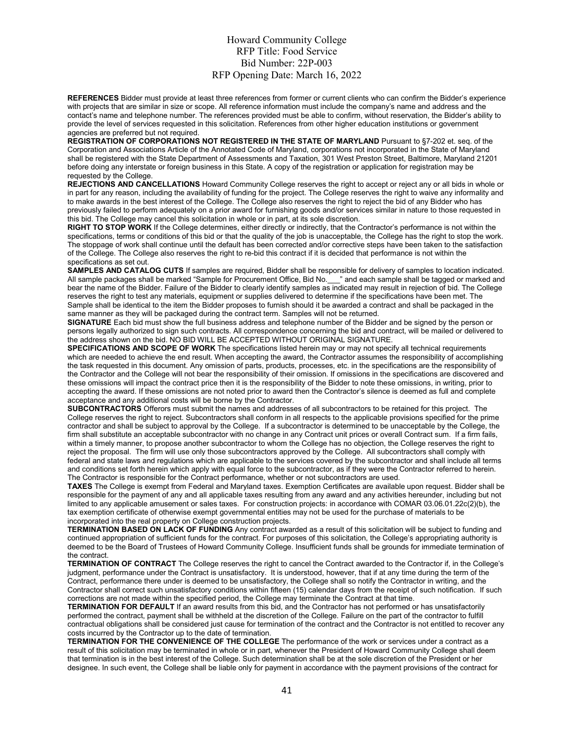**REFERENCES** Bidder must provide at least three references from former or current clients who can confirm the Bidder's experience with projects that are similar in size or scope. All reference information must include the company's name and address and the contact's name and telephone number. The references provided must be able to confirm, without reservation, the Bidder's ability to provide the level of services requested in this solicitation. References from other higher education institutions or government agencies are preferred but not required.

**REGISTRATION OF CORPORATIONS NOT REGISTERED IN THE STATE OF MARYLAND** Pursuant to §7-202 et. seq. of the Corporation and Associations Article of the Annotated Code of Maryland, corporations not incorporated in the State of Maryland shall be registered with the State Department of Assessments and Taxation, 301 West Preston Street, Baltimore, Maryland 21201 before doing any interstate or foreign business in this State. A copy of the registration or application for registration may be requested by the College.

**REJECTIONS AND CANCELLATIONS** Howard Community College reserves the right to accept or reject any or all bids in whole or in part for any reason, including the availability of funding for the project. The College reserves the right to waive any informality and to make awards in the best interest of the College. The College also reserves the right to reject the bid of any Bidder who has previously failed to perform adequately on a prior award for furnishing goods and/or services similar in nature to those requested in this bid. The College may cancel this solicitation in whole or in part, at its sole discretion.

**RIGHT TO STOP WORK** If the College determines, either directly or indirectly, that the Contractor's performance is not within the specifications, terms or conditions of this bid or that the quality of the job is unacceptable, the College has the right to stop the work. The stoppage of work shall continue until the default has been corrected and/or corrective steps have been taken to the satisfaction of the College. The College also reserves the right to re-bid this contract if it is decided that performance is not within the specifications as set out.

**SAMPLES AND CATALOG CUTS** If samples are required, Bidder shall be responsible for delivery of samples to location indicated.<br>All sample packages shall be marked "Sample for Procurement Office, Bid No. " and each sample s All sample packages shall be marked "Sample for Procurement Office, Bid No. bear the name of the Bidder. Failure of the Bidder to clearly identify samples as indicated may result in rejection of bid. The College reserves the right to test any materials, equipment or supplies delivered to determine if the specifications have been met. The Sample shall be identical to the item the Bidder proposes to furnish should it be awarded a contract and shall be packaged in the same manner as they will be packaged during the contract term. Samples will not be returned.

**SIGNATURE** Each bid must show the full business address and telephone number of the Bidder and be signed by the person or persons legally authorized to sign such contracts. All correspondence concerning the bid and contract, will be mailed or delivered to the address shown on the bid. NO BID WILL BE ACCEPTED WITHOUT ORIGINAL SIGNATURE.

**SPECIFICATIONS AND SCOPE OF WORK** The specifications listed herein may or may not specify all technical requirements which are needed to achieve the end result. When accepting the award, the Contractor assumes the responsibility of accomplishing the task requested in this document. Any omission of parts, products, processes, etc. in the specifications are the responsibility of the Contractor and the College will not bear the responsibility of their omission. If omissions in the specifications are discovered and these omissions will impact the contract price then it is the responsibility of the Bidder to note these omissions, in writing, prior to accepting the award. If these omissions are not noted prior to award then the Contractor's silence is deemed as full and complete acceptance and any additional costs will be borne by the Contractor.

**SUBCONTRACTORS** Offerors must submit the names and addresses of all subcontractors to be retained for this project. The College reserves the right to reject. Subcontractors shall conform in all respects to the applicable provisions specified for the prime contractor and shall be subject to approval by the College. If a subcontractor is determined to be unacceptable by the College, the firm shall substitute an acceptable subcontractor with no change in any Contract unit prices or overall Contract sum. If a firm fails, within a timely manner, to propose another subcontractor to whom the College has no objection, the College reserves the right to reject the proposal. The firm will use only those subcontractors approved by the College. All subcontractors shall comply with federal and state laws and regulations which are applicable to the services covered by the subcontractor and shall include all terms and conditions set forth herein which apply with equal force to the subcontractor, as if they were the Contractor referred to herein. The Contractor is responsible for the Contract performance, whether or not subcontractors are used.

**TAXES** The College is exempt from Federal and Maryland taxes. Exemption Certificates are available upon request. Bidder shall be responsible for the payment of any and all applicable taxes resulting from any award and any activities hereunder, including but not limited to any applicable amusement or sales taxes. For construction projects: in accordance with COMAR 03.06.01.22c(2)(b), the tax exemption certificate of otherwise exempt governmental entities may not be used for the purchase of materials to be incorporated into the real property on College construction projects.

**TERMINATION BASED ON LACK OF FUNDING** Any contract awarded as a result of this solicitation will be subject to funding and continued appropriation of sufficient funds for the contract. For purposes of this solicitation, the College's appropriating authority is deemed to be the Board of Trustees of Howard Community College. Insufficient funds shall be grounds for immediate termination of the contract.

**TERMINATION OF CONTRACT** The College reserves the right to cancel the Contract awarded to the Contractor if, in the College's judgment, performance under the Contract is unsatisfactory. It is understood, however, that if at any time during the term of the Contract, performance there under is deemed to be unsatisfactory, the College shall so notify the Contractor in writing, and the Contractor shall correct such unsatisfactory conditions within fifteen (15) calendar days from the receipt of such notification. If such corrections are not made within the specified period, the College may terminate the Contract at that time.

**TERMINATION FOR DEFAULT** If an award results from this bid, and the Contractor has not performed or has unsatisfactorily performed the contract, payment shall be withheld at the discretion of the College. Failure on the part of the contractor to fulfill contractual obligations shall be considered just cause for termination of the contract and the Contractor is not entitled to recover any costs incurred by the Contractor up to the date of termination.

**TERMINATION FOR THE CONVENIENCE OF THE COLLEGE** The performance of the work or services under a contract as a result of this solicitation may be terminated in whole or in part, whenever the President of Howard Community College shall deem that termination is in the best interest of the College. Such determination shall be at the sole discretion of the President or her designee. In such event, the College shall be liable only for payment in accordance with the payment provisions of the contract for